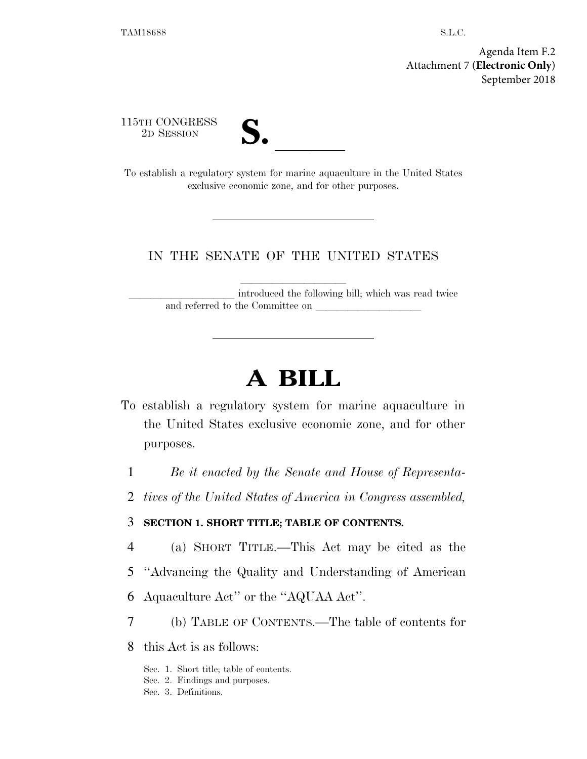Agenda Item F.2 Attachment 7 (**Electronic Only**) September 2018

115TH CONGRESS



2D SESSION **S. S. P. All To establish a regulatory system for marine aquaculture in the United States** exclusive economic zone, and for other purposes.

# IN THE SENATE OF THE UNITED STATES

introduced the following bill; which was read twice and referred to the Committee on

# **A BILL**

To establish a regulatory system for marine aquaculture in the United States exclusive economic zone, and for other purposes.

1 *Be it enacted by the Senate and House of Representa-*

2 *tives of the United States of America in Congress assembled,* 

# 3 **SECTION 1. SHORT TITLE; TABLE OF CONTENTS.**

- 4 (a) SHORT TITLE.—This Act may be cited as the
- 5 ''Advancing the Quality and Understanding of American
- 6 Aquaculture Act'' or the ''AQUAA Act''.
- 7 (b) TABLE OF CONTENTS.—The table of contents for

8 this Act is as follows:

- Sec. 1. Short title; table of contents.
- Sec. 2. Findings and purposes.
- Sec. 3. Definitions.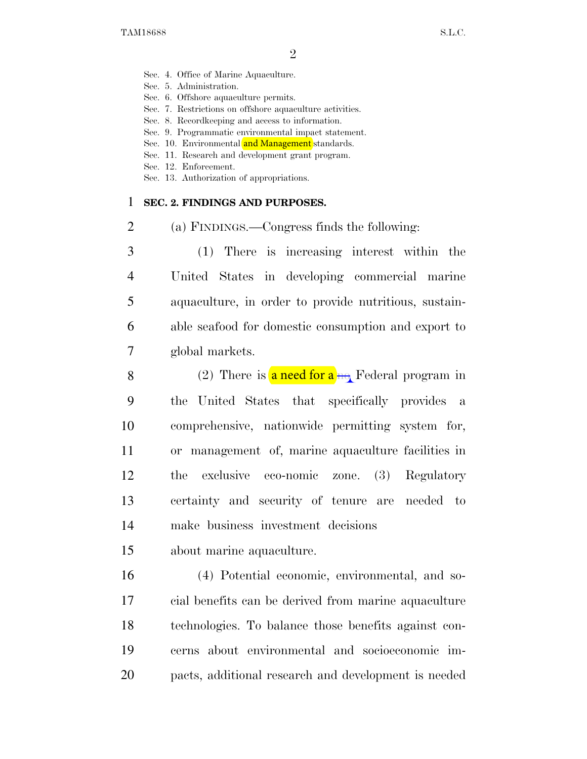- Sec. 4. Office of Marine Aquaculture.
- Sec. 5. Administration.
- Sec. 6. Offshore aquaculture permits.
- Sec. 7. Restrictions on offshore aquaculture activities.
- Sec. 8. Recordkeeping and access to information.
- Sec. 9. Programmatic environmental impact statement.
- Sec. 10. Environmental and Management standards.
- Sec. 11. Research and development grant program.
- Sec. 12. Enforcement.
- Sec. 13. Authorization of appropriations.

#### 1 **SEC. 2. FINDINGS AND PURPOSES.**

2 (a) FINDINGS.—Congress finds the following:

 (1) There is increasing interest within the United States in developing commercial marine aquaculture, in order to provide nutritious, sustain- able seafood for domestic consumption and export to global markets.

8 9 10 11 12 13 (2) There is **a need for a <sub>no</sub>** Federal program in the United States that specifically provides a comprehensive, nationwide permitting system for, or management of, marine aquaculture facilities in the exclusive eco-nomic zone. (3) Regulatory certainty and security of tenure are needed to 14 make business investment decisions

15 about marine aquaculture.

 (4) Potential economic, environmental, and so- cial benefits can be derived from marine aquaculture technologies. To balance those benefits against con- cerns about environmental and socioeconomic im-pacts, additional research and development is needed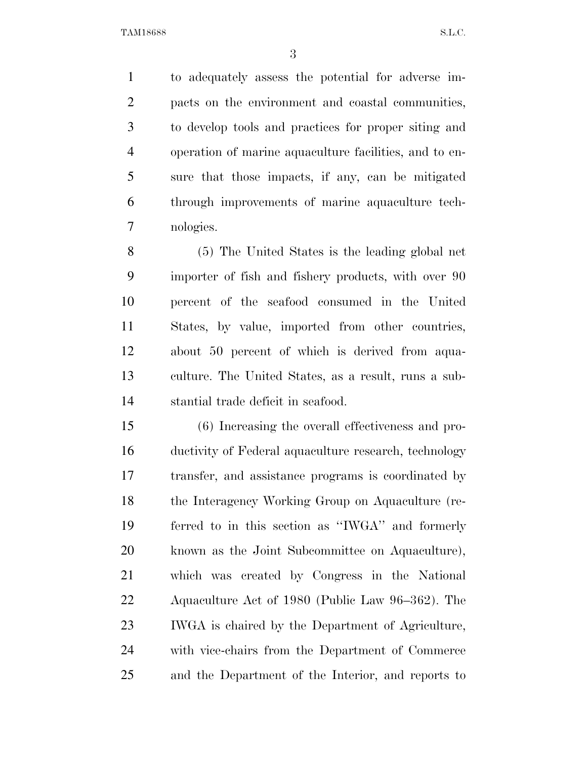to adequately assess the potential for adverse im- pacts on the environment and coastal communities, to develop tools and practices for proper siting and operation of marine aquaculture facilities, and to en- sure that those impacts, if any, can be mitigated through improvements of marine aquaculture tech-nologies.

 (5) The United States is the leading global net importer of fish and fishery products, with over 90 percent of the seafood consumed in the United States, by value, imported from other countries, about 50 percent of which is derived from aqua- culture. The United States, as a result, runs a sub-stantial trade deficit in seafood.

 (6) Increasing the overall effectiveness and pro- ductivity of Federal aquaculture research, technology transfer, and assistance programs is coordinated by the Interagency Working Group on Aquaculture (re- ferred to in this section as ''IWGA'' and formerly known as the Joint Subcommittee on Aquaculture), which was created by Congress in the National Aquaculture Act of 1980 (Public Law 96–362). The IWGA is chaired by the Department of Agriculture, with vice-chairs from the Department of Commerce and the Department of the Interior, and reports to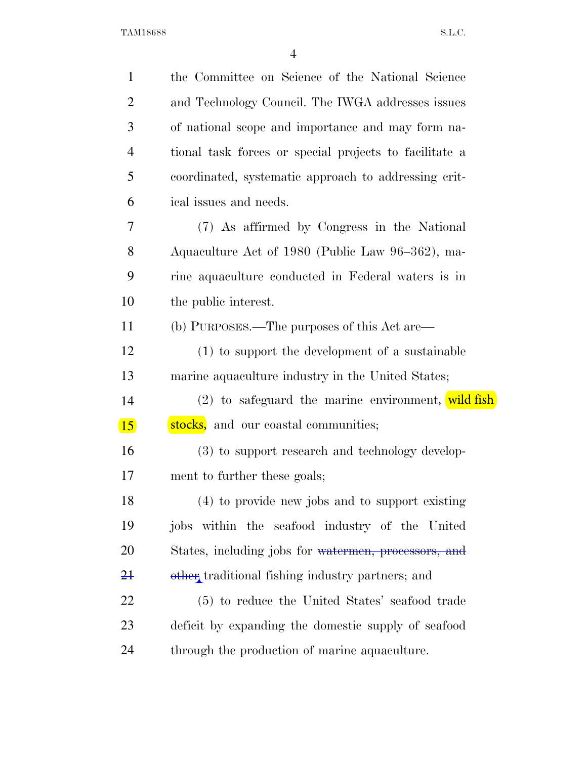| $\mathbf{1}$   | the Committee on Science of the National Science       |
|----------------|--------------------------------------------------------|
| $\overline{2}$ | and Technology Council. The IWGA addresses issues      |
| 3              | of national scope and importance and may form na-      |
| 4              | tional task forces or special projects to facilitate a |
| 5              | coordinated, systematic approach to addressing crit-   |
| 6              | ical issues and needs.                                 |
| 7              | (7) As affirmed by Congress in the National            |
| 8              | Aquaculture Act of 1980 (Public Law 96–362), ma-       |
| 9              | rine aquaculture conducted in Federal waters is in     |
| 10             | the public interest.                                   |
| 11             | (b) PURPOSES.—The purposes of this Act are—            |
| 12             | (1) to support the development of a sustainable        |
| 13             | marine aquaculture industry in the United States;      |
| 14             | (2) to safeguard the marine environment, wild fish     |
| 15             | stocks, and our coastal communities;                   |
| 16             | (3) to support research and technology develop-        |
| 17             | ment to further these goals;                           |
| 18             | (4) to provide new jobs and to support existing        |
| 19             | jobs within the seafood industry of the United         |
| 20             | States, including jobs for watermen, processors, and   |
| $2+$           | other traditional fishing industry partners; and       |
| 22             | (5) to reduce the United States' seafood trade         |
| 23             | deficit by expanding the domestic supply of seafood    |
| 24             | through the production of marine aquaculture.          |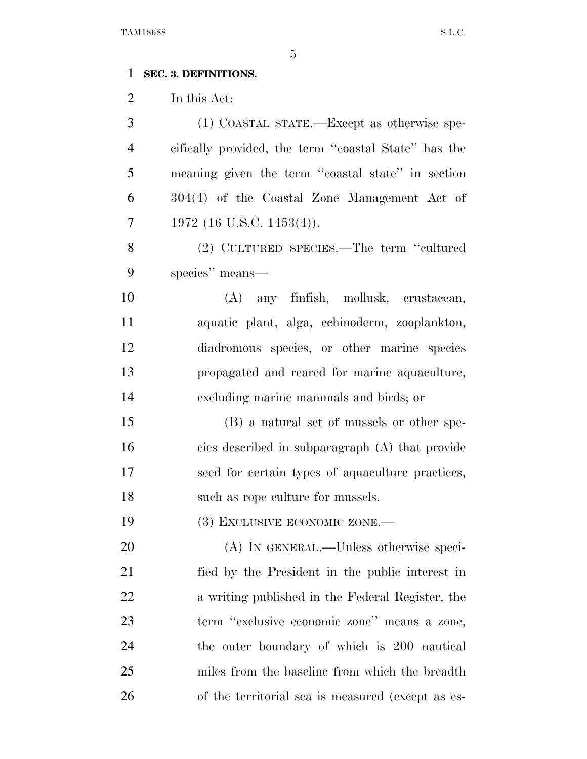# **SEC. 3. DEFINITIONS.**

In this Act:

 (1) COASTAL STATE.—Except as otherwise spe- cifically provided, the term ''coastal State'' has the meaning given the term ''coastal state'' in section 304(4) of the Coastal Zone Management Act of 1972 (16 U.S.C. 1453(4)). (2) CULTURED SPECIES.—The term ''cultured species'' means— (A) any finfish, mollusk, crustacean, aquatic plant, alga, echinoderm, zooplankton, diadromous species, or other marine species propagated and reared for marine aquaculture, excluding marine mammals and birds; or (B) a natural set of mussels or other spe- cies described in subparagraph (A) that provide seed for certain types of aquaculture practices, 18 such as rope culture for mussels. 19 (3) EXCLUSIVE ECONOMIC ZONE.— (A) IN GENERAL.—Unless otherwise speci- fied by the President in the public interest in a writing published in the Federal Register, the term ''exclusive economic zone'' means a zone, the outer boundary of which is 200 nautical miles from the baseline from which the breadth of the territorial sea is measured (except as es-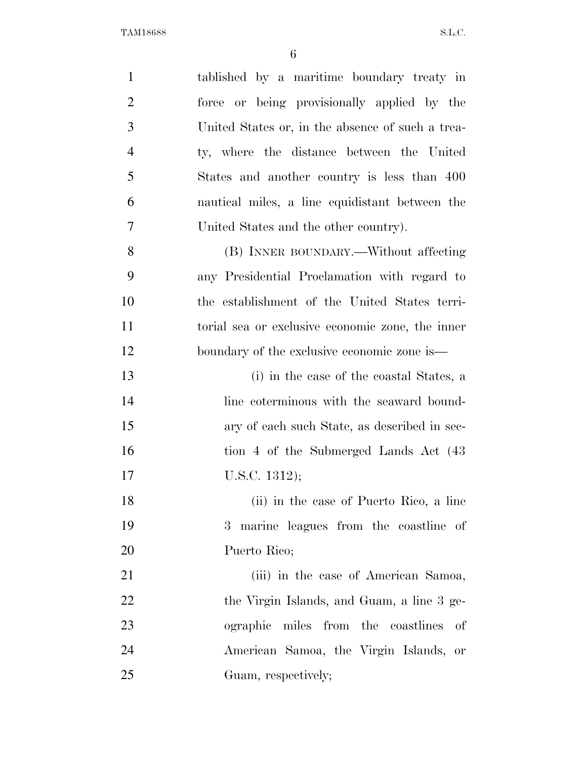| $\mathbf{1}$   | tablished by a maritime boundary treaty in       |
|----------------|--------------------------------------------------|
| $\overline{2}$ | or being provisionally applied by the<br>force   |
| 3              | United States or, in the absence of such a trea- |
| $\overline{4}$ | ty, where the distance between the United        |
| 5              | States and another country is less than 400      |
| 6              | nautical miles, a line equidistant between the   |
| 7              | United States and the other country).            |
| 8              | (B) INNER BOUNDARY.—Without affecting            |
| 9              | any Presidential Proclamation with regard to     |
| 10             | the establishment of the United States terri-    |
| 11             | torial sea or exclusive economic zone, the inner |
| 12             | boundary of the exclusive economic zone is—      |
| 13             | (i) in the case of the coastal States, a         |
| 14             | line coterminous with the seaward bound-         |
| 15             | ary of each such State, as described in sec-     |
| 16             | tion 4 of the Submerged Lands Act (43)           |
| 17             | U.S.C. $1312$ );                                 |
| 18             | (ii) in the case of Puerto Rico, a line          |
| 19             | marine leagues from the coastline of<br>$3^-$    |
| 20             | Puerto Rico;                                     |
| 21             | (iii) in the case of American Samoa,             |
| 22             | the Virgin Islands, and Guam, a line 3 ge-       |
| 23             | miles from the coastlines<br>ographic<br>οf      |
| 24             | American Samoa, the Virgin Islands, or           |
| 25             | Guam, respectively;                              |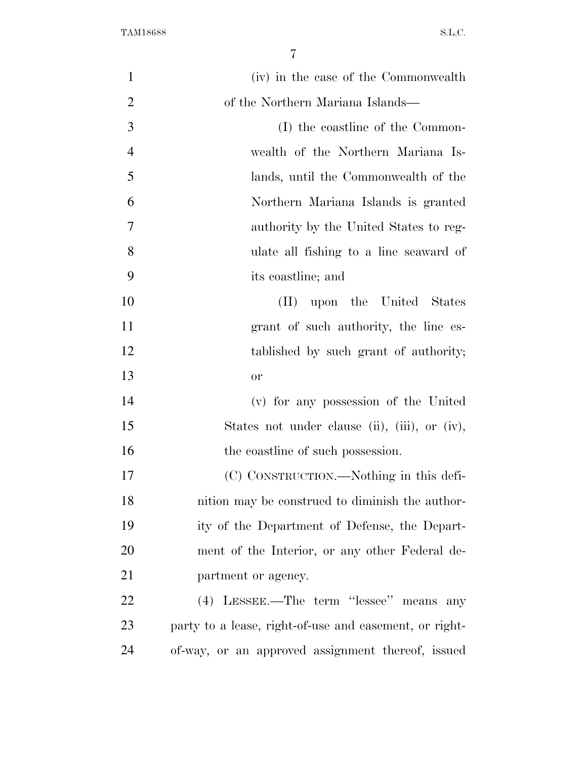| $\mathbf{1}$   | (iv) in the case of the Commonwealth                   |
|----------------|--------------------------------------------------------|
| $\overline{2}$ | of the Northern Mariana Islands—                       |
| 3              | (I) the coastline of the Common-                       |
| $\overline{4}$ | wealth of the Northern Mariana Is-                     |
| 5              | lands, until the Commonwealth of the                   |
| 6              | Northern Mariana Islands is granted                    |
| 7              | authority by the United States to reg-                 |
| 8              | ulate all fishing to a line seaward of                 |
| 9              | its coastline; and                                     |
| 10             | $(\Pi)^{\mathsf{T}}$<br>upon the United States         |
| 11             | grant of such authority, the line es-                  |
| 12             | tablished by such grant of authority;                  |
| 13             | <b>or</b>                                              |
| 14             | (v) for any possession of the United                   |
| 15             | States not under clause (ii), (iii), or (iv),          |
| 16             | the coastline of such possession.                      |
| 17             | (C) CONSTRUCTION.—Nothing in this defi-                |
| 18             | nition may be construed to diminish the author-        |
| 19             | ity of the Department of Defense, the Depart-          |
| 20             | ment of the Interior, or any other Federal de-         |
| 21             | partment or agency.                                    |
| 22             | (4) LESSEE.—The term "lessee" means any                |
| 23             | party to a lease, right-of-use and easement, or right- |
| 24             | of-way, or an approved assignment thereof, issued      |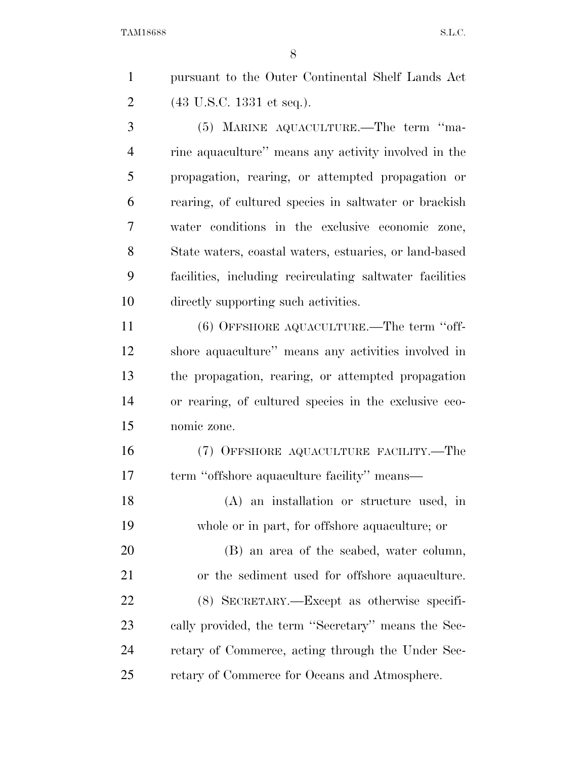pursuant to the Outer Continental Shelf Lands Act (43 U.S.C. 1331 et seq.).

 (5) MARINE AQUACULTURE.—The term ''ma- rine aquaculture'' means any activity involved in the propagation, rearing, or attempted propagation or rearing, of cultured species in saltwater or brackish water conditions in the exclusive economic zone, State waters, coastal waters, estuaries, or land-based facilities, including recirculating saltwater facilities directly supporting such activities.

 (6) OFFSHORE AQUACULTURE.—The term ''off- shore aquaculture'' means any activities involved in the propagation, rearing, or attempted propagation or rearing, of cultured species in the exclusive eco-nomic zone.

 (7) OFFSHORE AQUACULTURE FACILITY.—The term ''offshore aquaculture facility'' means—

 (A) an installation or structure used, in whole or in part, for offshore aquaculture; or

 (B) an area of the seabed, water column, or the sediment used for offshore aquaculture. (8) SECRETARY.—Except as otherwise specifi- cally provided, the term ''Secretary'' means the Sec- retary of Commerce, acting through the Under Sec-retary of Commerce for Oceans and Atmosphere.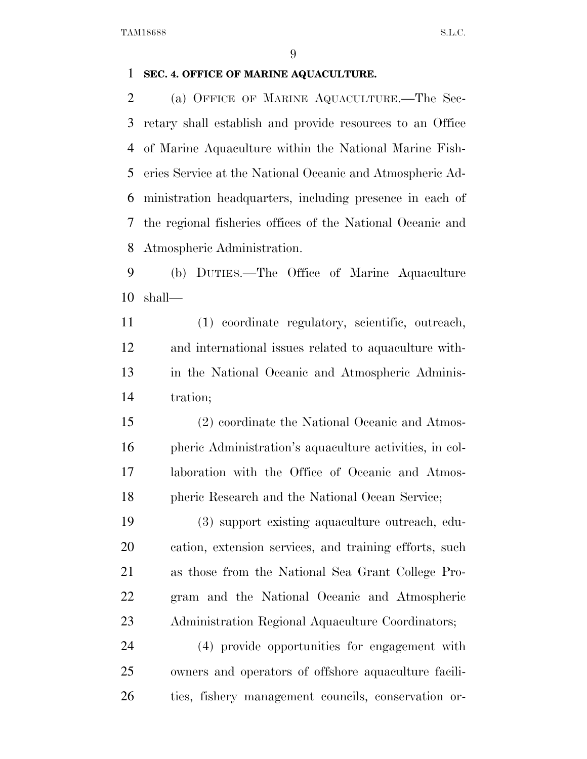# **SEC. 4. OFFICE OF MARINE AQUACULTURE.**

 (a) OFFICE OF MARINE AQUACULTURE.—The Sec- retary shall establish and provide resources to an Office of Marine Aquaculture within the National Marine Fish- eries Service at the National Oceanic and Atmospheric Ad- ministration headquarters, including presence in each of the regional fisheries offices of the National Oceanic and Atmospheric Administration.

 (b) DUTIES.—The Office of Marine Aquaculture shall—

 (1) coordinate regulatory, scientific, outreach, and international issues related to aquaculture with- in the National Oceanic and Atmospheric Adminis-tration;

 (2) coordinate the National Oceanic and Atmos- pheric Administration's aquaculture activities, in col- laboration with the Office of Oceanic and Atmos-pheric Research and the National Ocean Service;

 (3) support existing aquaculture outreach, edu- cation, extension services, and training efforts, such as those from the National Sea Grant College Pro- gram and the National Oceanic and Atmospheric Administration Regional Aquaculture Coordinators;

 (4) provide opportunities for engagement with owners and operators of offshore aquaculture facili-ties, fishery management councils, conservation or-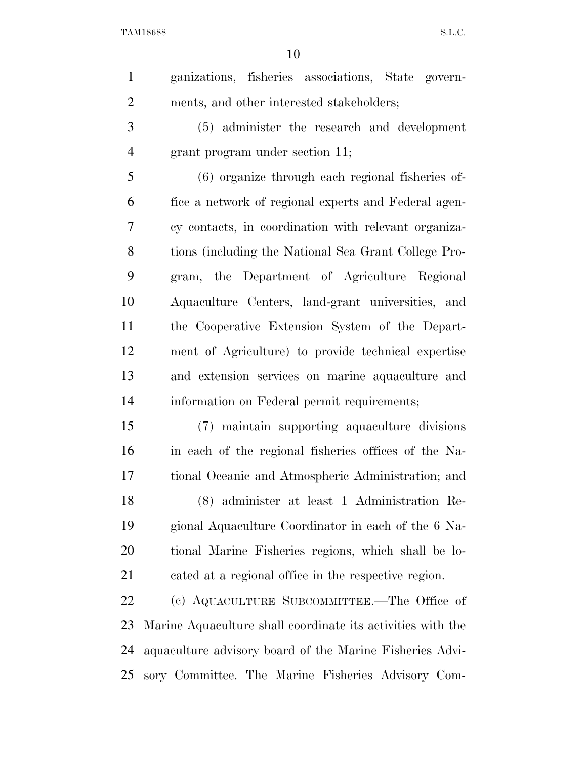| $\mathbf{1}$   | ganizations, fisheries associations, State govern-          |
|----------------|-------------------------------------------------------------|
| $\overline{2}$ | ments, and other interested stakeholders;                   |
| 3              | (5) administer the research and development                 |
| $\overline{4}$ | grant program under section 11;                             |
| 5              | (6) organize through each regional fisheries of-            |
| 6              | fice a network of regional experts and Federal agen-        |
| 7              | cy contacts, in coordination with relevant organiza-        |
| 8              | tions (including the National Sea Grant College Pro-        |
| 9              | gram, the Department of Agriculture Regional                |
| 10             | Aquaculture Centers, land-grant universities, and           |
| 11             | the Cooperative Extension System of the Depart-             |
| 12             | ment of Agriculture) to provide technical expertise         |
| 13             | and extension services on marine aquaculture and            |
| 14             | information on Federal permit requirements;                 |
| 15             | (7) maintain supporting aquaculture divisions               |
| 16             | in each of the regional fisheries offices of the Na-        |
| 17             | tional Oceanic and Atmospheric Administration; and          |
| 18             | (8) administer at least 1 Administration Re-                |
| 19             | gional Aquaculture Coordinator in each of the 6 Na-         |
| 20             | tional Marine Fisheries regions, which shall be lo-         |
| 21             | cated at a regional office in the respective region.        |
| 22             | (c) AQUACULTURE SUBCOMMITTEE.—The Office of                 |
| 23             | Marine Aquaculture shall coordinate its activities with the |
| 24             | aquaculture advisory board of the Marine Fisheries Advi-    |
| 25             | sory Committee. The Marine Fisheries Advisory Com-          |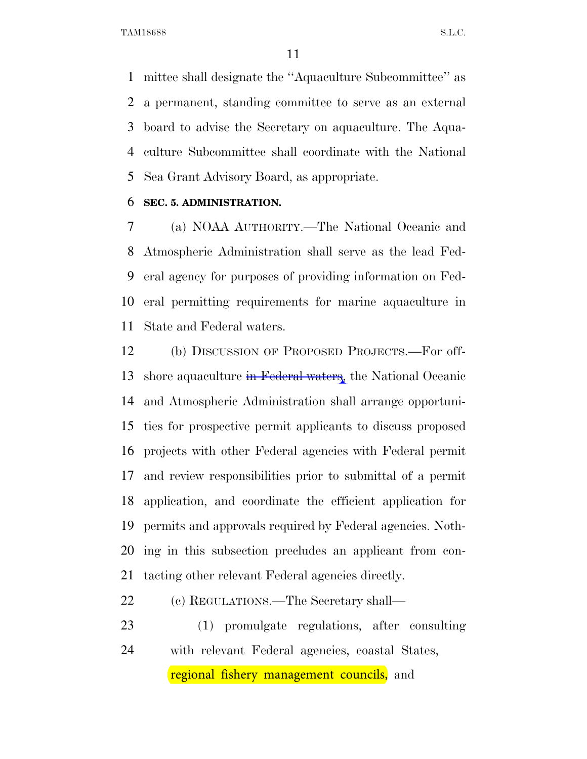mittee shall designate the ''Aquaculture Subcommittee'' as a permanent, standing committee to serve as an external board to advise the Secretary on aquaculture. The Aqua- culture Subcommittee shall coordinate with the National Sea Grant Advisory Board, as appropriate.

#### **SEC. 5. ADMINISTRATION.**

 (a) NOAA AUTHORITY.—The National Oceanic and Atmospheric Administration shall serve as the lead Fed- eral agency for purposes of providing information on Fed- eral permitting requirements for marine aquaculture in State and Federal waters.

 (b) DISCUSSION OF PROPOSED PROJECTS.—For off-13 shore aquaculture in Federal waters, the National Oceanic and Atmospheric Administration shall arrange opportuni- ties for prospective permit applicants to discuss proposed projects with other Federal agencies with Federal permit and review responsibilities prior to submittal of a permit application, and coordinate the efficient application for permits and approvals required by Federal agencies. Noth- ing in this subsection precludes an applicant from con-tacting other relevant Federal agencies directly.

(c) REGULATIONS.—The Secretary shall—

 (1) promulgate regulations, after consulting with relevant Federal agencies, coastal States, regional fishery management councils, and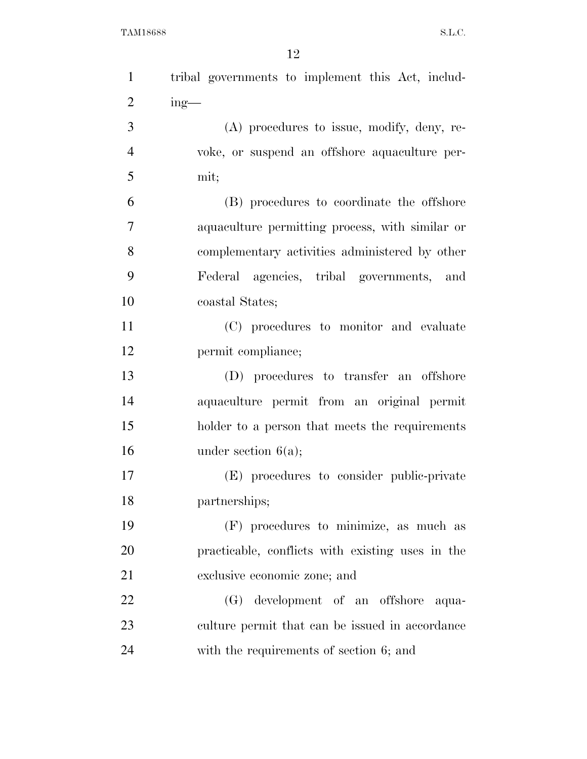| $\mathbf{1}$   | tribal governments to implement this Act, includ- |
|----------------|---------------------------------------------------|
| $\overline{2}$ | $ing$ —                                           |
| 3              | (A) procedures to issue, modify, deny, re-        |
| $\overline{4}$ | voke, or suspend an offshore aquaculture per-     |
| 5              | mit;                                              |
| 6              | (B) procedures to coordinate the offshore         |
| 7              | aquaculture permitting process, with similar or   |
| 8              | complementary activities administered by other    |
| 9              | Federal agencies, tribal governments, and         |
| 10             | coastal States;                                   |
| 11             | (C) procedures to monitor and evaluate            |
| 12             | permit compliance;                                |
| 13             | (D) procedures to transfer an offshore            |
| 14             | aquaculture permit from an original permit        |
| 15             | holder to a person that meets the requirements    |
| 16             | under section $6(a)$ ;                            |
| 17             | (E) procedures to consider public-private         |
| 18             | partnerships;                                     |
| 19             | (F) procedures to minimize, as much as            |
| <b>20</b>      | practicable, conflicts with existing uses in the  |
| 21             | exclusive economic zone; and                      |
| 22             | (G) development of an offshore aqua-              |
| 23             | culture permit that can be issued in accordance   |
| 24             | with the requirements of section 6; and           |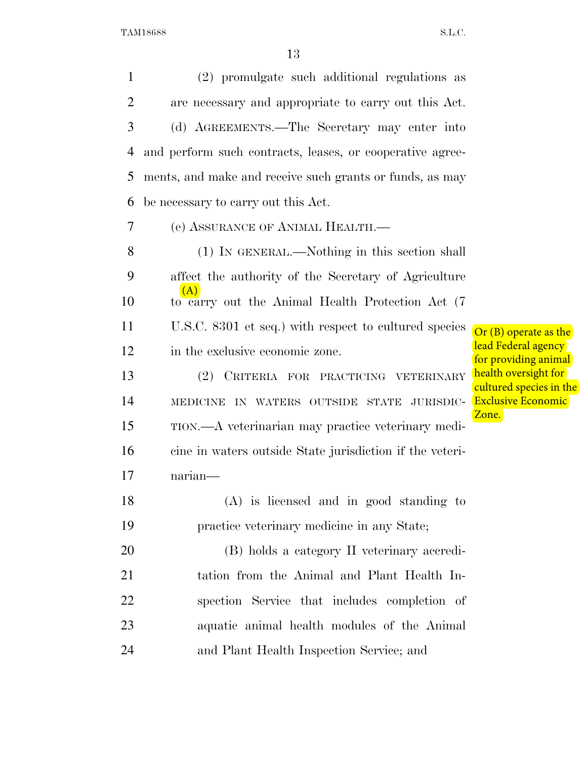(2) promulgate such additional regulations as are necessary and appropriate to carry out this Act. (d) AGREEMENTS.—The Secretary may enter into and perform such contracts, leases, or cooperative agree- ments, and make and receive such grants or funds, as may be necessary to carry out this Act. (e) ASSURANCE OF ANIMAL HEALTH.— (1) IN GENERAL.—Nothing in this section shall affect the authority of the Secretary of Agriculture to carry out the Animal Health Protection Act (7 U.S.C. 8301 et seq.) with respect to cultured species in the exclusive economic zone. (2) CRITERIA FOR PRACTICING VETERINARY MEDICINE IN WATERS OUTSIDE STATE JURISDIC- TION.—A veterinarian may practice veterinary medi- cine in waters outside State jurisdiction if the veteri- narian— (A) is licensed and in good standing to practice veterinary medicine in any State; (B) holds a category II veterinary accredi- tation from the Animal and Plant Health In- spection Service that includes completion of aquatic animal health modules of the Animal and Plant Health Inspection Service; and (A)

Or (B) operate as the lead Federal agency for providing animal health oversight for cultured species in the Exclusive Economic Zone.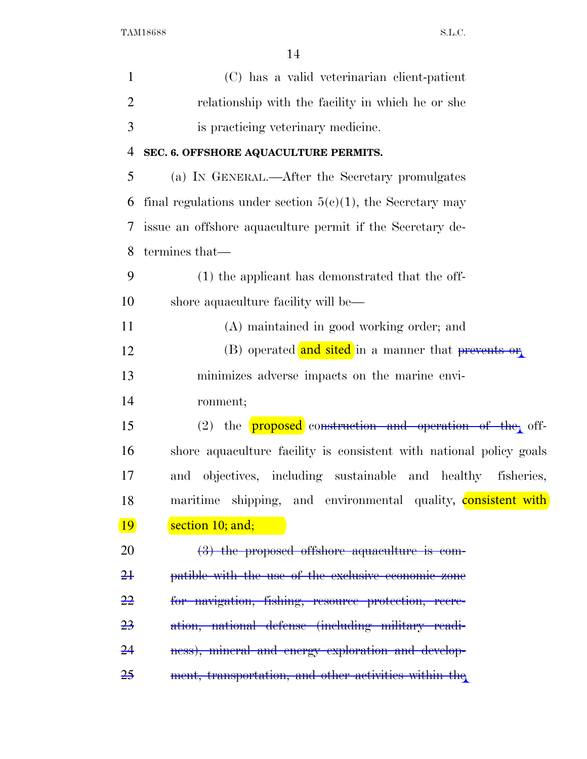| $\mathbf{1}$   | (C) has a valid veterinarian client-patient                          |
|----------------|----------------------------------------------------------------------|
| $\overline{2}$ | relationship with the facility in which he or she                    |
| 3              | is practicing veterinary medicine.                                   |
| 4              | SEC. 6. OFFSHORE AQUACULTURE PERMITS.                                |
| 5              | (a) IN GENERAL.—After the Secretary promulgates                      |
| 6              | final regulations under section $5(c)(1)$ , the Secretary may        |
| 7              | issue an offshore aquaculture permit if the Secretary de-            |
| 8              | termines that—                                                       |
| 9              | (1) the applicant has demonstrated that the off-                     |
| 10             | shore aquaculture facility will be—                                  |
| 11             | (A) maintained in good working order; and                            |
| 12             | (B) operated and sited in a manner that prevents or                  |
| 13             | minimizes adverse impacts on the marine envi-                        |
| 14             | ronment;                                                             |
| 15             | $(2)$ the <b>proposed</b> construction and operation of the off-     |
| 16             | shore a quaculture facility is consistent with national policy goals |
| 17             | and objectives, including sustainable and healthy<br>fisheries,      |
| 18             | maritime shipping, and environmental quality, <b>consistent with</b> |
| <u>19</u>      | section 10; and;                                                     |
| 20             | $(3)$ the proposed offshore aquaculture is com-                      |
| <del>21</del>  | patible with the use of the exclusive economic zone                  |
| <del>22</del>  | for navigation, fishing, resource protection, recre-                 |
| <del>23</del>  | ation, national defense (including military readi-                   |
| 24             | ness), mineral and energy exploration and develop-                   |
| <del>25</del>  | ment, transportation, and other activities within the                |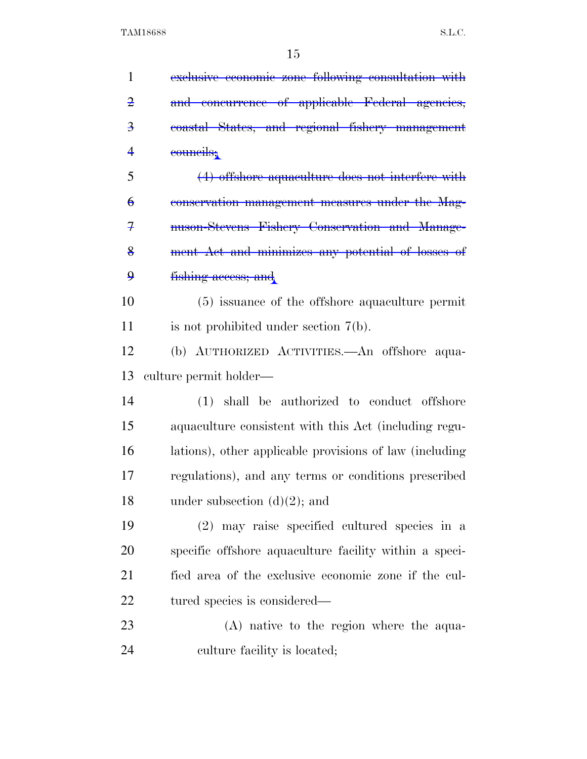| $\mathbf{1}$            | exclusive economic zone following consultation with     |
|-------------------------|---------------------------------------------------------|
| $\overline{2}$          | and concurrence of applicable Federal agencies,         |
| $\overline{\mathbf{3}}$ | coastal States, and regional fishery management         |
| 4                       | councils,                                               |
| 5                       | $(4)$ offshore aquaculture does not interfere with      |
| $\theta$                | conservation management measures under the Mag-         |
| 7                       | nuson-Stevens Fishery Conservation and Manage-          |
| $\frac{8}{9}$           | ment Act and minimizes any potential of losses of       |
| $\boldsymbol{9}$        | fishing access; and                                     |
| 10                      | (5) issuance of the offshore aquaculture permit         |
| 11                      | is not prohibited under section $7(b)$ .                |
| 12                      | (b) AUTHORIZED ACTIVITIES. An offshore aqua-            |
|                         |                                                         |
| 13                      | culture permit holder—                                  |
| 14                      | (1) shall be authorized to conduct offshore             |
| 15                      | aquaculture consistent with this Act (including regu-   |
| 16                      | lations), other applicable provisions of law (including |
| 17                      | regulations), and any terms or conditions prescribed    |
| 18                      | under subsection $(d)(2)$ ; and                         |
| 19                      | (2) may raise specified cultured species in a           |
| 20                      | specific offshore aquaculture facility within a speci-  |
| 21                      | fied area of the exclusive economic zone if the cul-    |
| 22                      | tured species is considered—                            |
| 23                      | (A) native to the region where the aqua-                |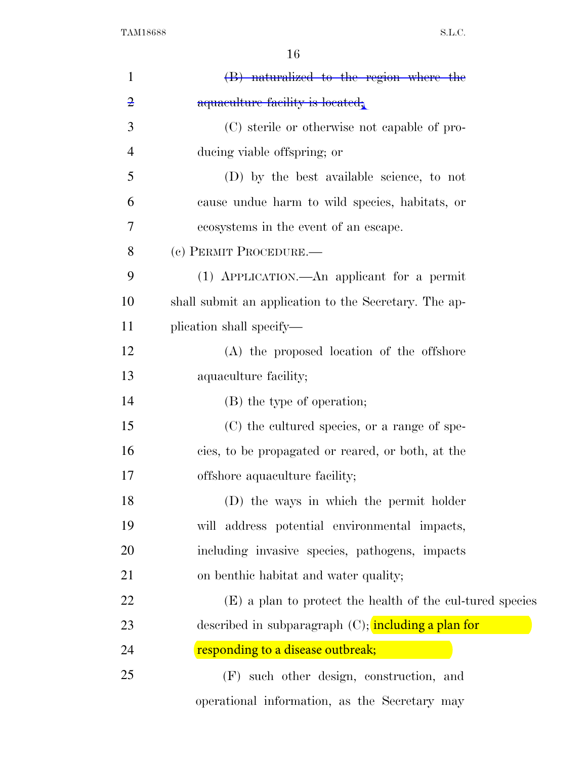| $\mathbf{1}$   | (B) naturalized to the region where the                   |
|----------------|-----------------------------------------------------------|
| $\overline{2}$ | aquaculture facility is located.                          |
| 3              | (C) sterile or otherwise not capable of pro-              |
| $\overline{4}$ | ducing viable offspring; or                               |
| 5              | (D) by the best available science, to not                 |
| 6              | cause undue harm to wild species, habitats, or            |
| 7              | ecosystems in the event of an escape.                     |
| 8              | (c) PERMIT PROCEDURE.—                                    |
| 9              | (1) APPLICATION.—An applicant for a permit                |
| 10             | shall submit an application to the Secretary. The ap-     |
| 11             | plication shall specify—                                  |
| 12             | (A) the proposed location of the offshore                 |
| 13             | aquaculture facility;                                     |
| 14             | (B) the type of operation;                                |
| 15             | (C) the cultured species, or a range of spe-              |
| 16             | cies, to be propagated or reared, or both, at the         |
| 17             | offshore aquaculture facility;                            |
| 18             | (D) the ways in which the permit holder                   |
| 19             | will address potential environmental impacts,             |
| 20             | including invasive species, pathogens, impacts            |
| 21             | on benthic habitat and water quality;                     |
| 22             | (E) a plan to protect the health of the cul-tured species |
| 23             | described in subparagraph (C); including a plan for       |
| 24             | responding to a disease outbreak;                         |
| 25             | (F) such other design, construction, and                  |
|                | operational information, as the Secretary may             |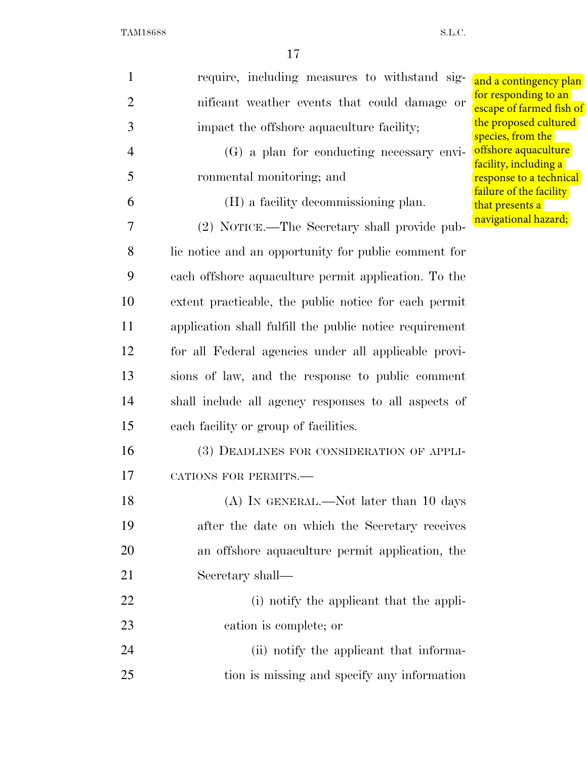| 1              | require, including measures to withstand sig-           | and a contingency plan                           |
|----------------|---------------------------------------------------------|--------------------------------------------------|
| $\overline{2}$ | nificant weather events that could damage or            | for responding to an<br>escape of farmed fish of |
| 3              | impact the offshore aquaculture facility;               | the proposed cultured<br>species, from the       |
| $\overline{4}$ | (G) a plan for conducting necessary envi-               | offshore aquaculture                             |
| 5              | ronmental monitoring; and                               | facility, including a<br>response to a technical |
| 6              | (H) a facility decommissioning plan.                    | failure of the facility<br>that presents a       |
| 7              | (2) NOTICE.—The Secretary shall provide pub-            | navigational hazard;                             |
| 8              | lie notice and an opportunity for public comment for    |                                                  |
| 9              | each offshore aquaculture permit application. To the    |                                                  |
| 10             | extent practicable, the public notice for each permit   |                                                  |
| 11             | application shall fulfill the public notice requirement |                                                  |
| 12             | for all Federal agencies under all applicable provi-    |                                                  |
| 13             | sions of law, and the response to public comment        |                                                  |
| 14             | shall include all agency responses to all aspects of    |                                                  |
| 15             | each facility or group of facilities.                   |                                                  |
| 16             | (3) DEADLINES FOR CONSIDERATION OF APPLI-               |                                                  |
| 17             | CATIONS FOR PERMITS.-                                   |                                                  |
| 18             | (A) IN GENERAL.—Not later than 10 days                  |                                                  |
| 19             | after the date on which the Secretary receives          |                                                  |
| 20             | an offshore aquaculture permit application, the         |                                                  |
| 21             | Secretary shall-                                        |                                                  |
| 22             | (i) notify the applicant that the appli-                |                                                  |
| 23             | cation is complete; or                                  |                                                  |
| 24             | (ii) notify the applicant that informa-                 |                                                  |
| 25             | tion is missing and specify any information             |                                                  |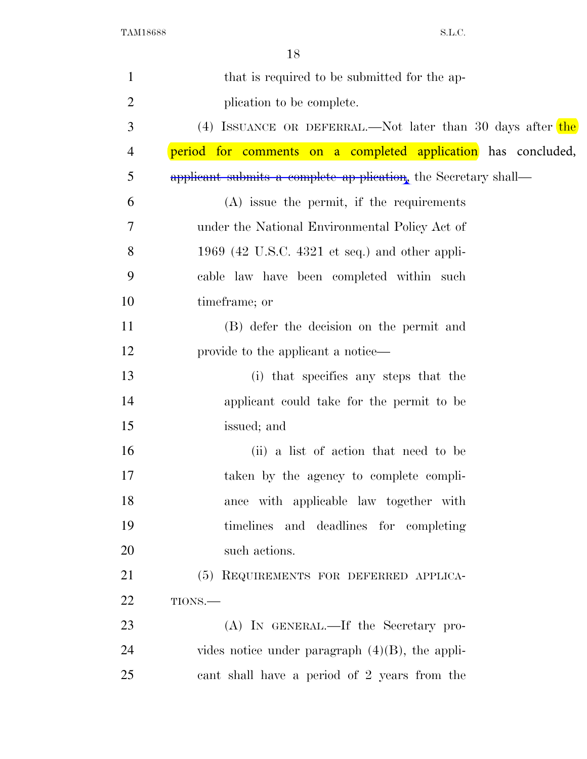| $\mathbf{1}$   | that is required to be submitted for the ap-                    |
|----------------|-----------------------------------------------------------------|
| $\overline{2}$ | plication to be complete.                                       |
| 3              | (4) ISSUANCE OR DEFERRAL.—Not later than 30 days after the      |
| 4              | period for comments on a completed application has concluded,   |
| 5              | applicant submits a complete ap-plication, the Secretary shall— |
| 6              | $(A)$ issue the permit, if the requirements                     |
| 7              | under the National Environmental Policy Act of                  |
| 8              | 1969 (42 U.S.C. 4321 et seq.) and other appli-                  |
| 9              | cable law have been completed within such                       |
| 10             | timeframe; or                                                   |
| 11             | (B) defer the decision on the permit and                        |
| 12             | provide to the applicant a notice—                              |
| 13             | (i) that specifies any steps that the                           |
| 14             | applicant could take for the permit to be                       |
| 15             | issued; and                                                     |
| 16             | (ii) a list of action that need to be                           |
| 17             | taken by the agency to complete compli-                         |
| 18             | ance with applicable law together with                          |
| 19             | timelines and deadlines for completing                          |
| 20             | such actions.                                                   |
| 21             | (5) REQUIREMENTS FOR DEFERRED APPLICA-                          |
| 22             | TIONS.                                                          |
| 23             | (A) IN GENERAL.—If the Secretary pro-                           |
| 24             | vides notice under paragraph $(4)(B)$ , the appli-              |
| 25             | cant shall have a period of 2 years from the                    |
|                |                                                                 |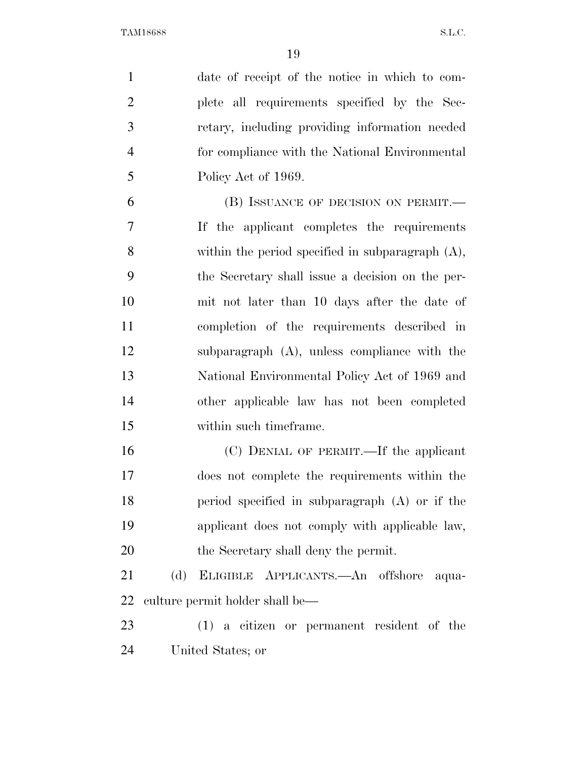| $\mathbf{1}$   | date of receipt of the notice in which to com-      |       |
|----------------|-----------------------------------------------------|-------|
| $\overline{2}$ | plete all requirements specified by the Sec-        |       |
| 3              | retary, including providing information needed      |       |
| $\overline{4}$ | for compliance with the National Environmental      |       |
| 5              | Policy Act of 1969.                                 |       |
| 6              | (B) ISSUANCE OF DECISION ON PERMIT.—                |       |
| 7              | If the applicant completes the requirements         |       |
| 8              | within the period specified in subparagraph $(A)$ , |       |
| 9              | the Secretary shall issue a decision on the per-    |       |
| 10             | mit not later than 10 days after the date of        |       |
| 11             | completion of the requirements described in         |       |
| 12             | subparagraph $(A)$ , unless compliance with the     |       |
| 13             | National Environmental Policy Act of 1969 and       |       |
| 14             | other applicable law has not been completed         |       |
| 15             | within such timeframe.                              |       |
| 16             | (C) DENIAL OF PERMIT.—If the applicant              |       |
| 17             | does not complete the requirements within the       |       |
| 18             | period specified in subparagraph (A) or if the      |       |
| 19             | applicant does not comply with applicable law,      |       |
| 20             | the Secretary shall deny the permit.                |       |
| 21             | (d)<br>ELIGIBLE APPLICANTS.—An offshore             | aqua- |
| 22             | culture permit holder shall be—                     |       |
| 23             | $(1)$ a citizen or permanent resident of the        |       |
| 24             | United States; or                                   |       |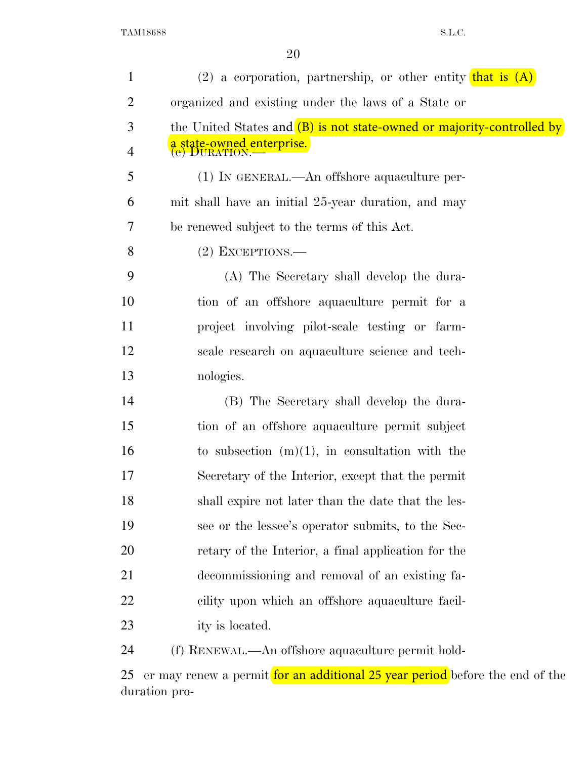| $\mathbf{1}$   | $(2)$ a corporation, partnership, or other entity that is $(A)$        |
|----------------|------------------------------------------------------------------------|
| $\overline{2}$ | organized and existing under the laws of a State or                    |
| 3              | the United States and (B) is not state-owned or majority-controlled by |
| 4              | a state-owned enterprise.<br>(e) DURATION.—                            |
| 5              | $(1)$ In GENERAL.—An offshore aquaculture per-                         |
| 6              | mit shall have an initial 25-year duration, and may                    |
| 7              | be renewed subject to the terms of this Act.                           |
| 8              | $(2)$ EXCEPTIONS.—                                                     |
| 9              | (A) The Secretary shall develop the dura-                              |
| 10             | tion of an offshore aquaculture permit for a                           |
| 11             | project involving pilot-scale testing or farm-                         |
| 12             | scale research on aquaculture science and tech-                        |
| 13             | nologies.                                                              |
| 14             | (B) The Secretary shall develop the dura-                              |
| 15             | tion of an offshore aquaculture permit subject                         |
| 16             | to subsection $(m)(1)$ , in consultation with the                      |
| 17             | Secretary of the Interior, except that the permit                      |
| 18             | shall expire not later than the date that the les-                     |
| 19             | see or the lessee's operator submits, to the Sec-                      |
| 20             | retary of the Interior, a final application for the                    |
| 21             | decommissioning and removal of an existing fa-                         |
| 22             | cility upon which an offshore aquaculture facil-                       |
| 23             | ity is located.                                                        |
| 24             | (f) RENEWAL.—An offshore aquaculture permit hold-                      |
|                |                                                                        |

25 er may renew a permit for an additional 25 year period before the end of the duration pro-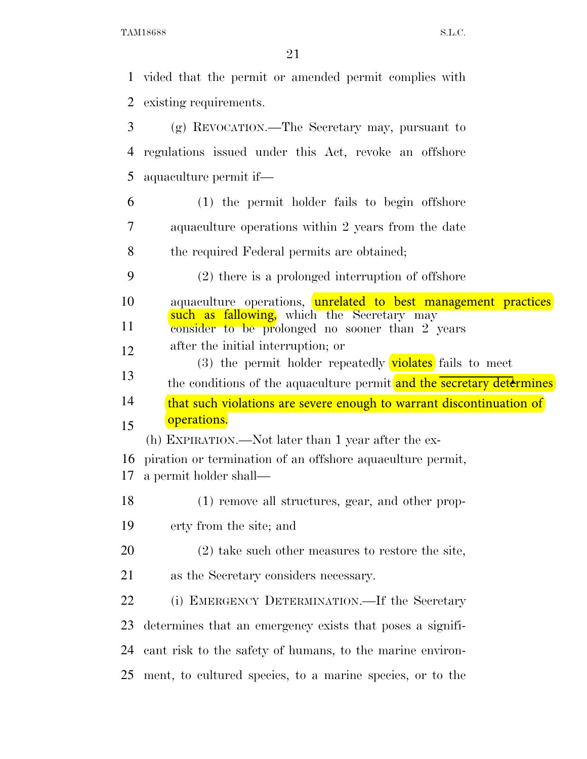|    | 1 vided that the permit or amended permit complies with                                                           |
|----|-------------------------------------------------------------------------------------------------------------------|
| 2  | existing requirements.                                                                                            |
| 3  | $(g)$ REVOCATION.—The Secretary may, pursuant to                                                                  |
| 4  | regulations issued under this Act, revoke an offshore                                                             |
| 5  | aquaculture permit if—                                                                                            |
| 6  | (1) the permit holder fails to begin offshore                                                                     |
| 7  | aquaculture operations within 2 years from the date                                                               |
| 8  | the required Federal permits are obtained;                                                                        |
| 9  | $(2)$ there is a prolonged interruption of offshore                                                               |
| 10 | aquaculture operations, unrelated to best management practices                                                    |
| 11 | such as fallowing, which the Secretary may<br>consider to be prolonged no sooner than 2 years                     |
| 12 | after the initial interruption; or                                                                                |
| 13 | (3) the permit holder repeatedly <b>violates</b> fails to meet                                                    |
|    |                                                                                                                   |
|    | the conditions of the aquaculture permit and the secretary determines                                             |
| 14 | that such violations are severe enough to warrant discontinuation of                                              |
| 15 | operations.                                                                                                       |
| 16 | (h) EXPIRATION.—Not later than 1 year after the ex-<br>piration or termination of an offshore aquaculture permit, |
| 17 | a permit holder shall—                                                                                            |
| 18 | (1) remove all structures, gear, and other prop-                                                                  |
| 19 | erty from the site; and                                                                                           |
| 20 | $(2)$ take such other measures to restore the site,                                                               |
| 21 | as the Secretary considers necessary.                                                                             |
| 22 | (i) EMERGENCY DETERMINATION.—If the Secretary                                                                     |
| 23 | determines that an emergency exists that poses a signifi-                                                         |
| 24 | cant risk to the safety of humans, to the marine environ-                                                         |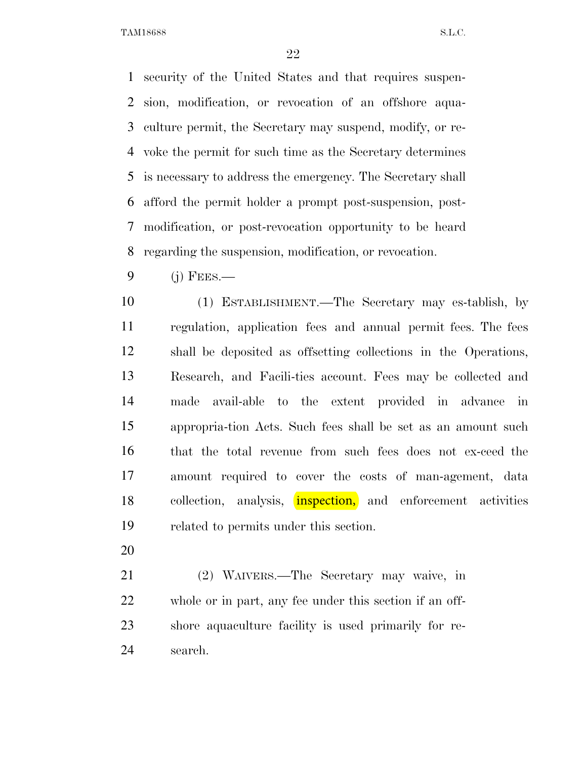security of the United States and that requires suspen- sion, modification, or revocation of an offshore aqua- culture permit, the Secretary may suspend, modify, or re- voke the permit for such time as the Secretary determines is necessary to address the emergency. The Secretary shall afford the permit holder a prompt post-suspension, post- modification, or post-revocation opportunity to be heard regarding the suspension, modification, or revocation.

(j) FEES.—

 (1) ESTABLISHMENT.—The Secretary may es-tablish, by regulation, application fees and annual permit fees. The fees shall be deposited as offsetting collections in the Operations, Research, and Facili-ties account. Fees may be collected and made avail-able to the extent provided in advance in appropria-tion Acts. Such fees shall be set as an amount such that the total revenue from such fees does not ex-ceed the amount required to cover the costs of man-agement, data collection, analysis, **inspection**, and enforcement activities related to permits under this section.

 (2) WAIVERS.—The Secretary may waive, in whole or in part, any fee under this section if an off- shore aquaculture facility is used primarily for re-search.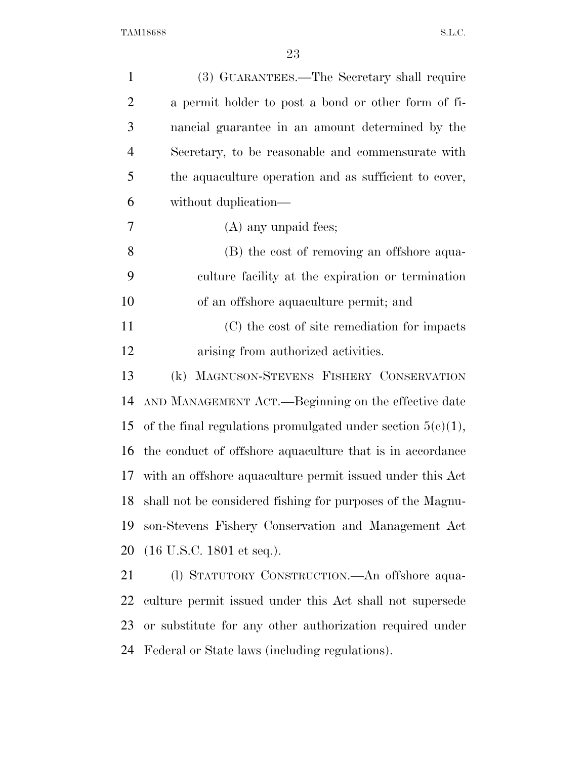| (3) GUARANTEES.—The Secretary shall require                    |
|----------------------------------------------------------------|
| a permit holder to post a bond or other form of fi-            |
| nancial guarantee in an amount determined by the               |
| Secretary, to be reasonable and commensurate with              |
| the aquaculture operation and as sufficient to cover,          |
| without duplication—                                           |
| $(A)$ any unpaid fees;                                         |
| (B) the cost of removing an offshore aqua-                     |
| culture facility at the expiration or termination              |
| of an offshore aquaculture permit; and                         |
| (C) the cost of site remediation for impacts                   |
| arising from authorized activities.                            |
| (k) MAGNUSON-STEVENS FISHERY CONSERVATION                      |
| AND MANAGEMENT ACT.—Beginning on the effective date            |
| of the final regulations promulgated under section $5(c)(1)$ , |
| the conduct of offshore aquaculture that is in accordance      |
| with an offshore aquaculture permit issued under this Act      |
| shall not be considered fishing for purposes of the Magnu-     |
| son-Stevens Fishery Conservation and Management Act            |
| $(16 \text{ U.S.C. } 1801 \text{ et seq.}).$                   |
| (1) STATUTORY CONSTRUCTION.—An offshore aqua-                  |
| culture permit issued under this Act shall not supersede       |
| or substitute for any other authorization required under       |
|                                                                |

Federal or State laws (including regulations).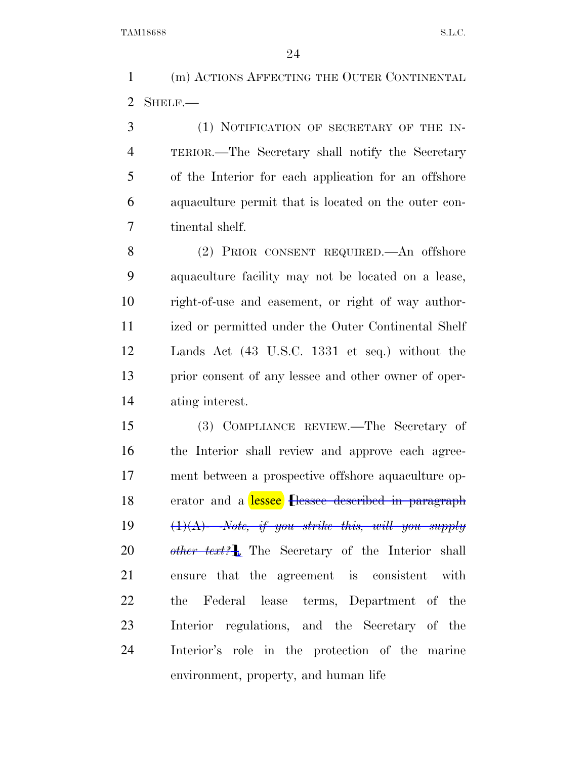(m) ACTIONS AFFECTING THE OUTER CONTINENTAL SHELF.—

 (1) NOTIFICATION OF SECRETARY OF THE IN- TERIOR.—The Secretary shall notify the Secretary of the Interior for each application for an offshore aquaculture permit that is located on the outer con-tinental shelf.

 (2) PRIOR CONSENT REQUIRED.—An offshore aquaculture facility may not be located on a lease, right-of-use and easement, or right of way author- ized or permitted under the Outer Continental Shelf Lands Act (43 U.S.C. 1331 et seq.) without the prior consent of any lessee and other owner of oper-ating interest.

 (3) COMPLIANCE REVIEW.—The Secretary of the Interior shall review and approve each agreement between a prospective offshore aquaculture operator and a lessee **flessee described in paragraph** (1)(A)- -*Note, if you strike this, will you supply other text?*¿. The Secretary of the Interior shall ensure that the agreement is consistent with the Federal lease terms, Department of the Interior regulations, and the Secretary of the Interior's role in the protection of the marine environment, property, and human life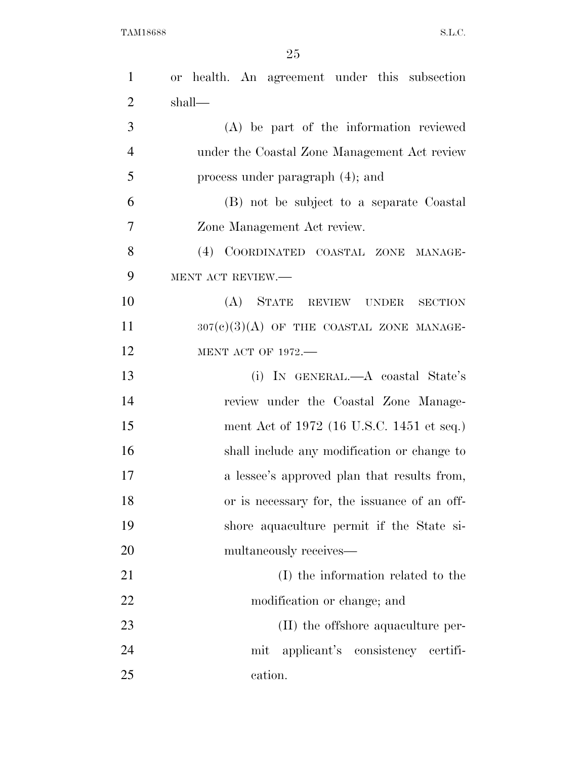| $\mathbf{1}$   | or health. An agreement under this subsection |
|----------------|-----------------------------------------------|
| $\overline{2}$ | shall—                                        |
| 3              | (A) be part of the information reviewed       |
| $\overline{4}$ | under the Coastal Zone Management Act review  |
| 5              | process under paragraph (4); and              |
| 6              | (B) not be subject to a separate Coastal      |
| 7              | Zone Management Act review.                   |
| 8              | (4) COORDINATED COASTAL ZONE MANAGE-          |
| 9              | MENT ACT REVIEW.-                             |
| 10             | (A) STATE REVIEW UNDER<br><b>SECTION</b>      |
| 11             | $307(e)(3)(A)$ OF THE COASTAL ZONE MANAGE-    |
| 12             | <b>MENT ACT OF 1972.-</b>                     |
| 13             | (i) IN GENERAL.—A coastal State's             |
| 14             | review under the Coastal Zone Manage-         |
| 15             | ment Act of 1972 (16 U.S.C. 1451 et seq.)     |
| 16             | shall include any modification or change to   |
| 17             | a lessee's approved plan that results from,   |
| 18             | or is necessary for, the issuance of an off-  |
| 19             | shore aquaculture permit if the State si-     |
| 20             | multaneously receives—                        |
| 21             | (I) the information related to the            |
| 22             | modification or change; and                   |
| 23             | (II) the offshore aquaculture per-            |
| 24             | mit applicant's consistency certifi-          |
| 25             | cation.                                       |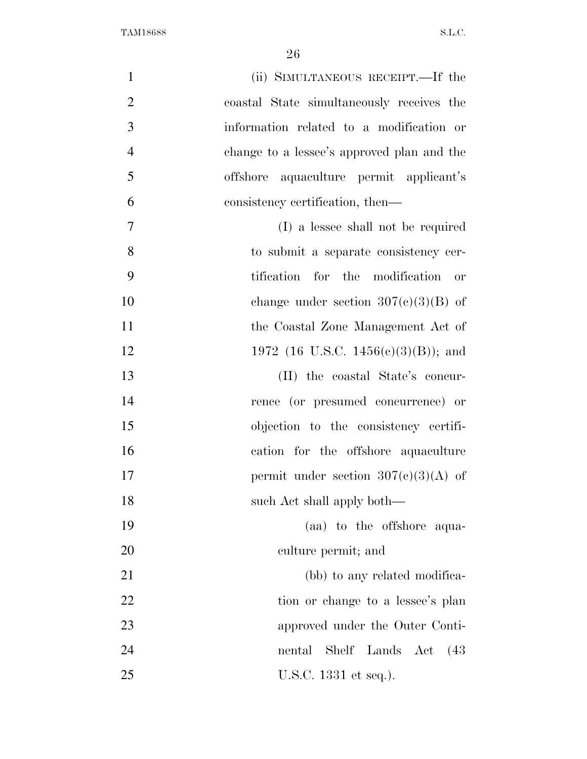| $\mathbf{1}$   | (ii) SIMULTANEOUS RECEIPT.—If the          |
|----------------|--------------------------------------------|
| $\overline{2}$ | coastal State simultaneously receives the  |
| 3              | information related to a modification or   |
| $\overline{4}$ | change to a lessee's approved plan and the |
| 5              | offshore aquaculture permit applicant's    |
| 6              | consistency certification, then—           |
| $\overline{7}$ | (I) a lessee shall not be required         |
| 8              | to submit a separate consistency cer-      |
| 9              | tification for the modification or         |
| 10             | change under section $307(e)(3)(B)$ of     |
| 11             | the Coastal Zone Management Act of         |
| 12             | 1972 (16 U.S.C. 1456(c)(3)(B)); and        |
| 13             | (II) the coastal State's concur-           |
| 14             | rence (or presumed concurrence) or         |
| 15             | objection to the consistency certifi-      |
| 16             | cation for the offshore aquaculture        |
| 17             | permit under section $307(e)(3)(A)$ of     |
| 18             | such Act shall apply both—                 |
| 19             | (aa) to the offshore aqua-                 |
| 20             | culture permit; and                        |
| 21             | (bb) to any related modifica-              |
| 22             | tion or change to a lessee's plan          |
| 23             | approved under the Outer Conti-            |
| 24             | Shelf Lands Act<br>nental<br>(43)          |
| 25             | U.S.C. 1331 et seq.).                      |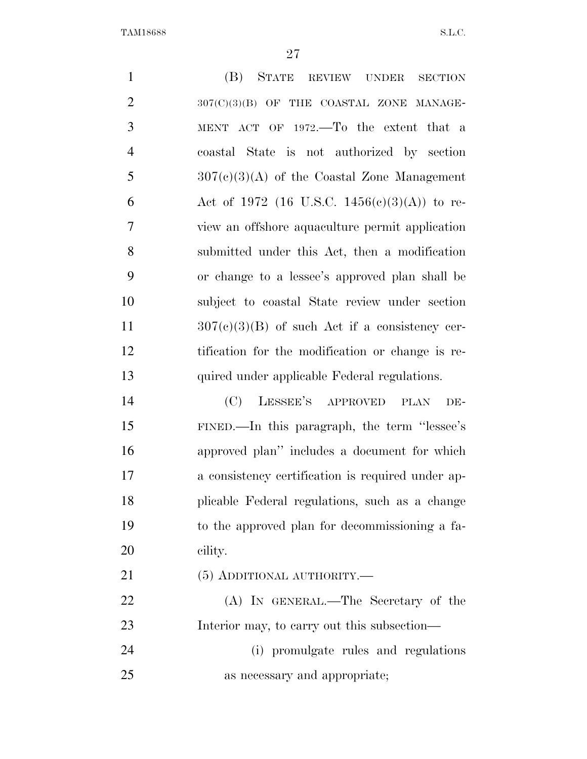| $\mathbf{1}$   | (B)<br>STATE REVIEW UNDER<br><b>SECTION</b>       |
|----------------|---------------------------------------------------|
| $\overline{2}$ | 307(C)(3)(B) OF THE COASTAL ZONE MANAGE-          |
| 3              | MENT ACT OF 1972.—To the extent that a            |
| $\overline{4}$ | coastal State is not authorized by section        |
| 5              | $307(c)(3)(A)$ of the Coastal Zone Management     |
| 6              | Act of 1972 (16 U.S.C. 1456(c)(3)(A)) to re-      |
| 7              | view an offshore aquaculture permit application   |
| 8              | submitted under this Act, then a modification     |
| 9              | or change to a lessee's approved plan shall be    |
| 10             | subject to coastal State review under section     |
| 11             | $307(c)(3)(B)$ of such Act if a consistency cer-  |
| 12             | tification for the modification or change is re-  |
| 13             | quired under applicable Federal regulations.      |
| 14             | (C)<br>LESSEE'S APPROVED<br><b>PLAN</b><br>DE-    |
| 15             | FINED.—In this paragraph, the term "lessee's"     |
| 16             | approved plan" includes a document for which      |
| 17             | a consistency certification is required under ap- |
| 18             | plicable Federal regulations, such as a change    |
| 19             | to the approved plan for decommissioning a fa-    |
| 20             | cility.                                           |
| 21             | $(5)$ ADDITIONAL AUTHORITY.—                      |
| 22             | (A) IN GENERAL.—The Secretary of the              |
| 23             | Interior may, to carry out this subsection—       |
| 24             | (i) promulgate rules and regulations              |
| 25             | as necessary and appropriate;                     |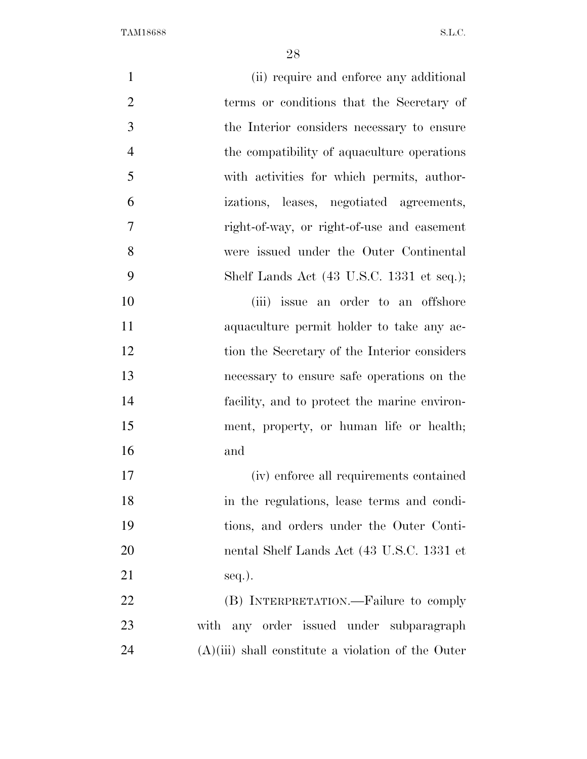| $\mathbf{1}$   | (ii) require and enforce any additional              |
|----------------|------------------------------------------------------|
| $\overline{2}$ | terms or conditions that the Secretary of            |
| 3              | the Interior considers necessary to ensure           |
| $\overline{4}$ | the compatibility of aquaculture operations          |
| 5              | with activities for which permits, author-           |
| 6              | izations, leases, negotiated agreements,             |
| 7              | right-of-way, or right-of-use and easement           |
| 8              | were issued under the Outer Continental              |
| 9              | Shelf Lands Act (43 U.S.C. 1331 et seq.);            |
| 10             | (iii) issue an order to an offshore                  |
| 11             | aquaculture permit holder to take any ac-            |
| 12             | tion the Secretary of the Interior considers         |
| 13             | necessary to ensure safe operations on the           |
| 14             | facility, and to protect the marine environ-         |
| 15             | ment, property, or human life or health;             |
| 16             | and                                                  |
| 17             | (iv) enforce all requirements contained              |
| 18             | in the regulations, lease terms and condi-           |
| 19             | tions, and orders under the Outer Conti-             |
| 20             | nental Shelf Lands Act (43 U.S.C. 1331 et            |
| 21             | $seq.$ ).                                            |
| 22             | (B) INTERPRETATION.—Failure to comply                |
| 23             | with any order issued under subparagraph             |
| 24             | $(A)(iii)$ shall constitute a violation of the Outer |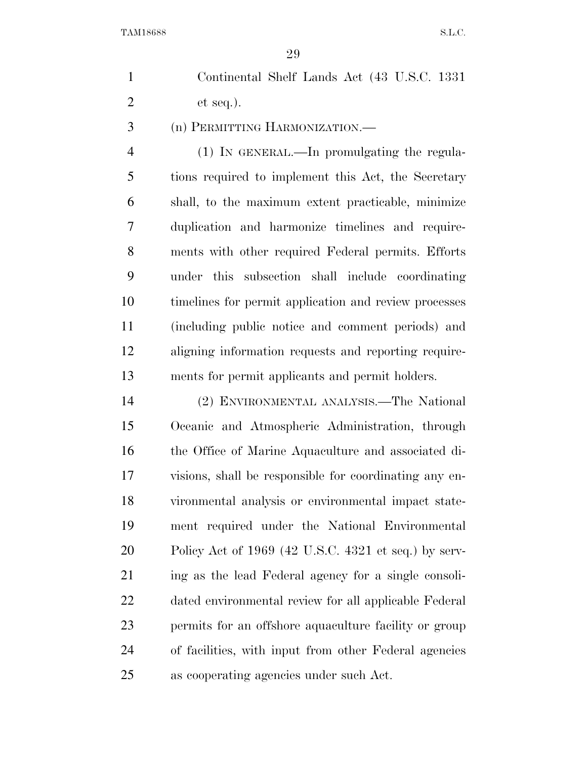Continental Shelf Lands Act (43 U.S.C. 1331 et seq.).

(n) PERMITTING HARMONIZATION.—

 (1) IN GENERAL.—In promulgating the regula- tions required to implement this Act, the Secretary shall, to the maximum extent practicable, minimize duplication and harmonize timelines and require- ments with other required Federal permits. Efforts under this subsection shall include coordinating timelines for permit application and review processes (including public notice and comment periods) and aligning information requests and reporting require-ments for permit applicants and permit holders.

 (2) ENVIRONMENTAL ANALYSIS.—The National Oceanic and Atmospheric Administration, through the Office of Marine Aquaculture and associated di- visions, shall be responsible for coordinating any en- vironmental analysis or environmental impact state- ment required under the National Environmental Policy Act of 1969 (42 U.S.C. 4321 et seq.) by serv- ing as the lead Federal agency for a single consoli- dated environmental review for all applicable Federal permits for an offshore aquaculture facility or group of facilities, with input from other Federal agencies as cooperating agencies under such Act.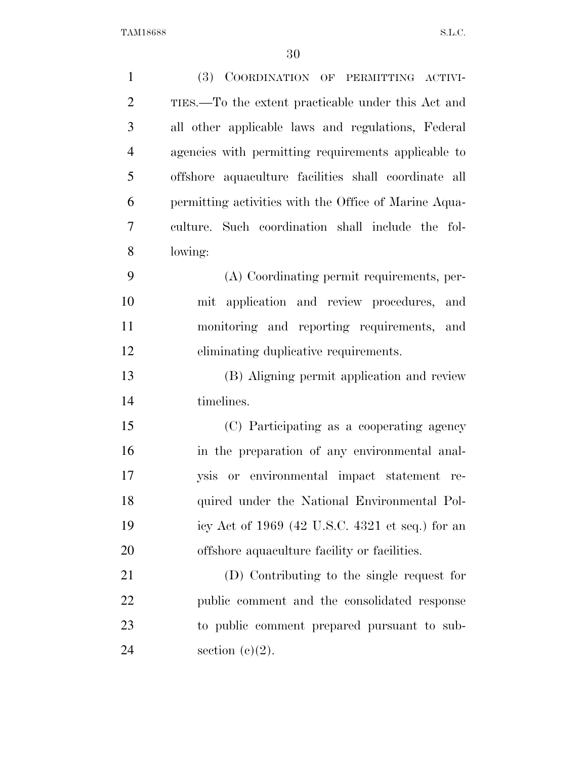| $\mathbf{1}$   | <b>(3)</b><br>COORDINATION OF PERMITTING ACTIVI-      |
|----------------|-------------------------------------------------------|
| $\overline{2}$ | TIES.—To the extent practicable under this Act and    |
| 3              | all other applicable laws and regulations, Federal    |
| $\overline{4}$ | agencies with permitting requirements applicable to   |
| 5              | offshore aquaculture facilities shall coordinate all  |
| 6              | permitting activities with the Office of Marine Aqua- |
| 7              | culture. Such coordination shall include the fol-     |
| 8              | lowing:                                               |
| 9              | (A) Coordinating permit requirements, per-            |
| 10             | mit application and review procedures,<br>and         |
| 11             | monitoring and reporting requirements, and            |
| 12             | eliminating duplicative requirements.                 |
| 13             | (B) Aligning permit application and review            |
| 14             | timelines.                                            |
| 15             | (C) Participating as a cooperating agency             |
| 16             | in the preparation of any environmental anal-         |
| 17             | ysis or environmental impact statement re-            |
| 18             | quired under the National Environmental Pol-          |
| 19             | icy Act of $1969$ (42 U.S.C. 4321 et seq.) for an     |
| 20             | offshore aquaculture facility or facilities.          |
| 21             | (D) Contributing to the single request for            |
| 22             | public comment and the consolidated response          |
| 23             | to public comment prepared pursuant to sub-           |
| 24             | section $(c)(2)$ .                                    |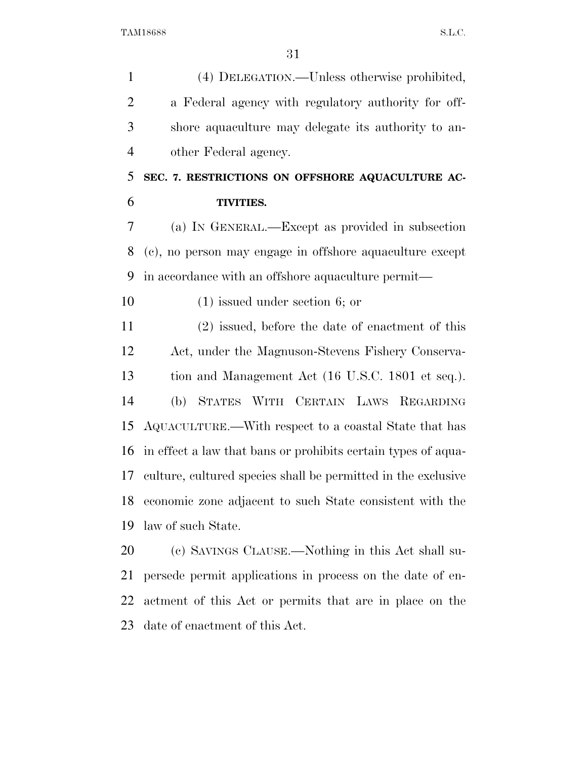| $\mathbf{1}$   | (4) DELEGATION.—Unless otherwise prohibited,                  |
|----------------|---------------------------------------------------------------|
| $\overline{2}$ | a Federal agency with regulatory authority for off-           |
| 3              | shore aquaculture may delegate its authority to an-           |
| $\overline{4}$ | other Federal agency.                                         |
| 5              | SEC. 7. RESTRICTIONS ON OFFSHORE AQUACULTURE AC-              |
| 6              | <b>TIVITIES.</b>                                              |
| 7              | (a) IN GENERAL.—Except as provided in subsection              |
| 8              | (c), no person may engage in offshore aquaculture except      |
| 9              | in accordance with an offshore aquaculture permit—            |
| 10             | $(1)$ issued under section 6; or                              |
| 11             | $(2)$ issued, before the date of enactment of this            |
| 12             | Act, under the Magnuson-Stevens Fishery Conserva-             |
| 13             | tion and Management Act (16 U.S.C. 1801 et seq.).             |
| 14             | STATES WITH CERTAIN LAWS REGARDING<br>(b)                     |
| 15             | AQUACULTURE.—With respect to a coastal State that has         |
| 16             | in effect a law that bans or prohibits certain types of aqua- |
| 17             | culture, cultured species shall be permitted in the exclusive |
| 18             | economic zone adjacent to such State consistent with the      |
| 19             | law of such State.                                            |
| 20             | (c) SAVINGS CLAUSE.—Nothing in this Act shall su-             |
| 21             | persede permit applications in process on the date of en-     |

 actment of this Act or permits that are in place on the date of enactment of this Act.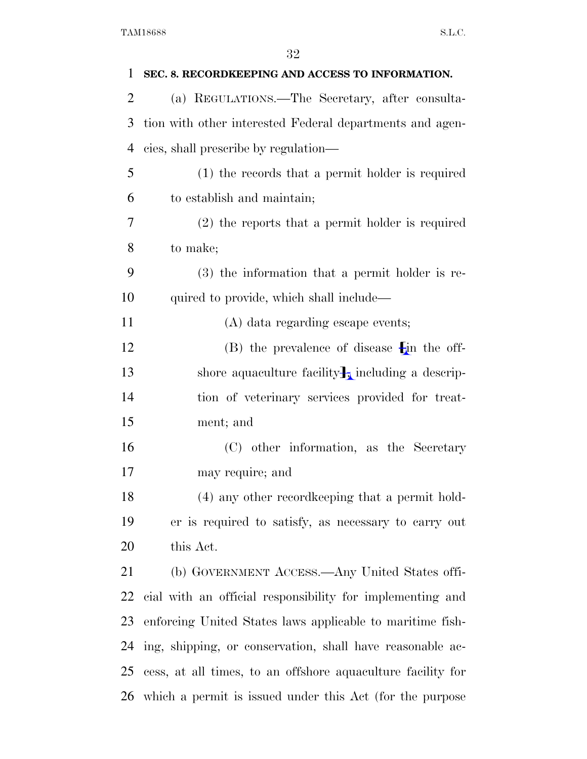| 1  | SEC. 8. RECORDKEEPING AND ACCESS TO INFORMATION.              |
|----|---------------------------------------------------------------|
| 2  | (a) REGULATIONS.—The Secretary, after consulta-               |
| 3  | tion with other interested Federal departments and agen-      |
| 4  | cies, shall prescribe by regulation—                          |
| 5  | (1) the records that a permit holder is required              |
| 6  | to establish and maintain;                                    |
| 7  | $(2)$ the reports that a permit holder is required            |
| 8  | to make;                                                      |
| 9  | $(3)$ the information that a permit holder is re-             |
| 10 | quired to provide, which shall include—                       |
| 11 | (A) data regarding escape events;                             |
| 12 | $(B)$ the prevalence of disease $\mathbf{F}$ in the off-      |
| 13 | shore aquaculture facility $\frac{1}{2}$ including a descrip- |
| 14 | tion of veterinary services provided for treat-               |
| 15 | ment; and                                                     |
| 16 | (C) other information, as the Secretary                       |
| 17 | may require; and                                              |
| 18 | (4) any other record keeping that a permit hold-              |
| 19 | er is required to satisfy, as necessary to carry out          |
| 20 | this Act.                                                     |
| 21 | (b) GOVERNMENT ACCESS.—Any United States offi-                |
| 22 | cial with an official responsibility for implementing and     |
| 23 | enforcing United States laws applicable to maritime fish-     |
| 24 | ing, shipping, or conservation, shall have reasonable ac-     |
| 25 | cess, at all times, to an offshore aquaculture facility for   |
| 26 | which a permit is issued under this Act (for the purpose      |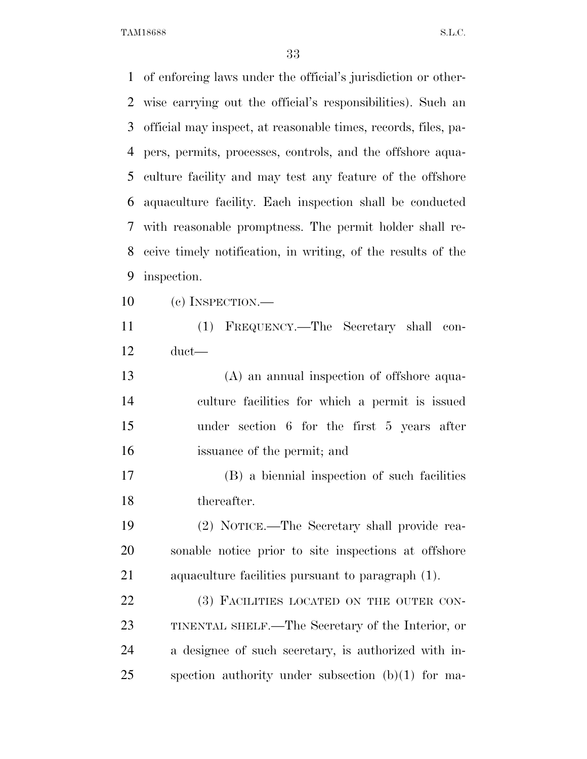of enforcing laws under the official's jurisdiction or other- wise carrying out the official's responsibilities). Such an official may inspect, at reasonable times, records, files, pa- pers, permits, processes, controls, and the offshore aqua- culture facility and may test any feature of the offshore aquaculture facility. Each inspection shall be conducted with reasonable promptness. The permit holder shall re- ceive timely notification, in writing, of the results of the inspection. (c) INSPECTION.— (1) FREQUENCY.—The Secretary shall con- duct— (A) an annual inspection of offshore aqua- culture facilities for which a permit is issued under section 6 for the first 5 years after issuance of the permit; and (B) a biennial inspection of such facilities thereafter.

 (2) NOTICE.—The Secretary shall provide rea- sonable notice prior to site inspections at offshore aquaculture facilities pursuant to paragraph (1).

22 (3) FACILITIES LOCATED ON THE OUTER CON- TINENTAL SHELF.—The Secretary of the Interior, or a designee of such secretary, is authorized with in-spection authority under subsection (b)(1) for ma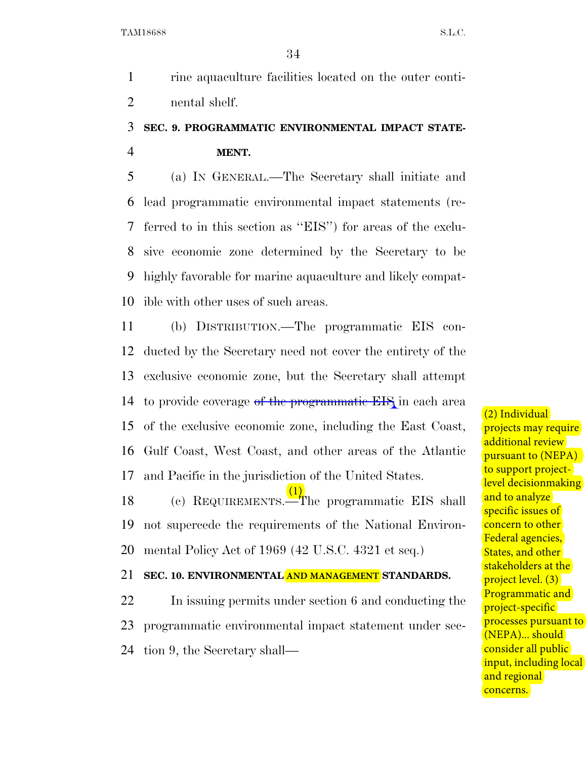1 rine aquaculture facilities located on the outer conti-2 nental shelf.

# 3 **SEC. 9. PROGRAMMATIC ENVIRONMENTAL IMPACT STATE-**4 **MENT.**

 (a) IN GENERAL.—The Secretary shall initiate and lead programmatic environmental impact statements (re- ferred to in this section as ''EIS'') for areas of the exclu- sive economic zone determined by the Secretary to be highly favorable for marine aquaculture and likely compat-ible with other uses of such areas.

 (b) DISTRIBUTION.—The programmatic EIS con- ducted by the Secretary need not cover the entirety of the exclusive economic zone, but the Secretary shall attempt 14 to provide coverage of the programmatic EIS in each area of the exclusive economic zone, including the East Coast, Gulf Coast, West Coast, and other areas of the Atlantic and Pacific in the jurisdiction of the United States.

18 (c) REQUIREMENTS.<sup>1</sup>The programmatic EIS shall 19 not supercede the requirements of the National Environ-20 mental Policy Act of 1969 (42 U.S.C. 4321 et seq.) (1)

# 21 **SEC. 10. ENVIRONMENTAL AND MANAGEMENT STANDARDS.**

22 In issuing permits under section 6 and conducting the 23 programmatic environmental impact statement under sec-24 tion 9, the Secretary shall(2) Individual projects may require additional review pursuant to (NEPA) to support projectlevel decisionmaking and to analyze specific issues of concern to other Federal agencies, States, and other stakeholders at the project level. (3) Programmatic and project-specific processes pursuant to (NEPA)... should consider all public input, including local and regional concerns.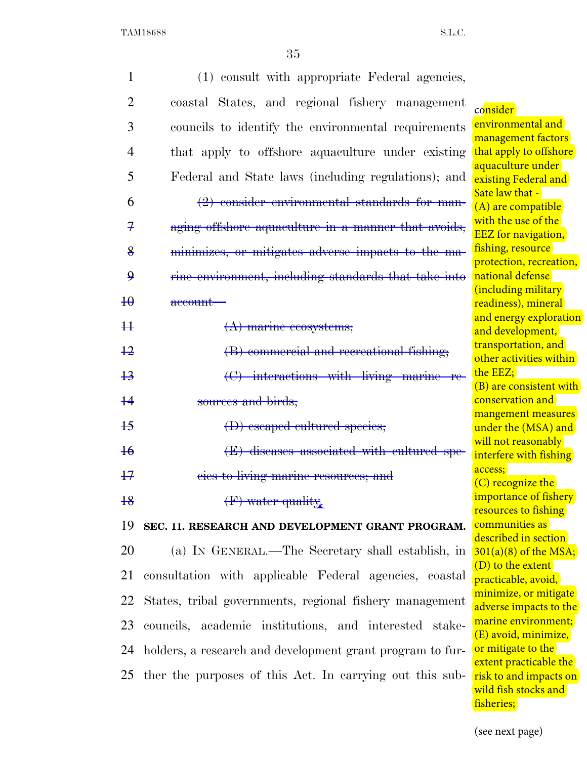|                    | (1) consult with appropriate Federal agencies,            |                                                  |
|--------------------|-----------------------------------------------------------|--------------------------------------------------|
| $\overline{2}$     | coastal States, and regional fishery management           | consider                                         |
| 3                  | councils to identify the environmental requirements       | environmental and                                |
| 4                  | that apply to offshore aquaculture under existing         | management factors<br>that apply to offshore     |
| 5                  | Federal and State laws (including regulations); and       | aquaculture under<br>existing Federal and        |
| 6                  | $(2)$ consider environmental standards for man-           | Sate law that -                                  |
|                    |                                                           | (A) are compatible<br>with the use of the        |
| $\mathcal{F}$      | aging offshore aquaculture in a manner that avoids,       | <b>EEZ</b> for navigation,                       |
| 8                  | minimizes, or mitigates adverse impacts to the ma-        | fishing, resource<br>protection, recreation,     |
| $\mathbf{\varrho}$ | rine environment, including standards that take into      | national defense                                 |
| $\overline{40}$    | account-                                                  | (including military<br>readiness), mineral       |
|                    |                                                           | and energy exploration                           |
| #                  | $(A)$ marine ecosystems;                                  | and development,                                 |
| $+2$               | (B) commercial and recreational fishing;                  | transportation, and<br>other activities within   |
| $+3$               | (C) interactions with living marine re-                   | the EEZ;                                         |
|                    |                                                           | (B) are consistent with                          |
| $+4$               | sources and birds;                                        | conservation and<br>mangement measures           |
| $+5$               | (D) escaped cultured species;                             | under the (MSA) and                              |
| $\overline{16}$    | (E) diseases associated with cultured spe-                | will not reasonably                              |
|                    |                                                           | interfere with fishing<br>access;                |
| $+7$               | eies to living marine resources; and                      | $(C)$ recognize the                              |
| $+8$               | (F) water quality.                                        | importance of fishery<br>resources to fishing    |
| 19                 | SEC. 11. RESEARCH AND DEVELOPMENT GRANT PROGRAM.          | communities as                                   |
|                    |                                                           | described in section                             |
| 20                 | (a) IN GENERAL.—The Secretary shall establish, in         | $301(a)(8)$ of the MSA;                          |
| 21                 | consultation with applicable Federal agencies, coastal    | (D) to the extent<br>practicable, avoid,         |
| 22                 | States, tribal governments, regional fishery management   | minimize, or mitigate                            |
|                    |                                                           | adverse impacts to the<br>marine environment;    |
| 23                 | councils, academic institutions, and interested stake-    | (E) avoid, minimize,                             |
| 24                 | holders, a research and development grant program to fur- | or mitigate to the                               |
| 25                 | ther the purposes of this Act. In carrying out this sub-  | extent practicable the<br>risk to and impacts on |
|                    |                                                           | wild fish stocks and                             |

(see next page)

fisheries;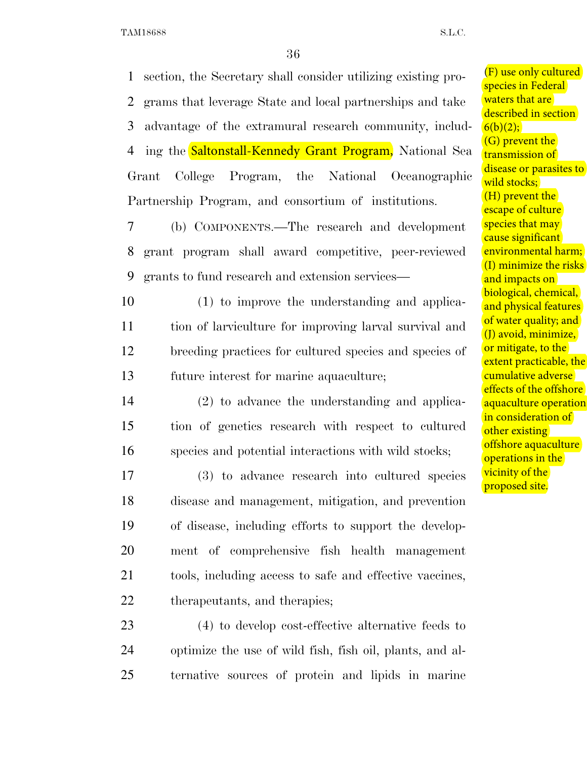1 section, the Secretary shall consider utilizing existing pro-2 grams that leverage State and local partnerships and take 3 advantage of the extramural research community, includ-4 ing the **Saltonstall-Kennedy Grant Program**, National Sea Grant College Program, the National Oceanographic Partnership Program, and consortium of institutions.

7 (b) COMPONENTS.—The research and development 8 grant program shall award competitive, peer-reviewed 9 grants to fund research and extension services—

 (1) to improve the understanding and applica- tion of larviculture for improving larval survival and breeding practices for cultured species and species of future interest for marine aquaculture;

14 (2) to advance the understanding and applica-15 tion of genetics research with respect to cultured 16 species and potential interactions with wild stocks;

 (3) to advance research into cultured species disease and management, mitigation, and prevention of disease, including efforts to support the develop- ment of comprehensive fish health management tools, including access to safe and effective vaccines, therapeutants, and therapies;

23 (4) to develop cost-effective alternative feeds to 24 optimize the use of wild fish, fish oil, plants, and al-25 ternative sources of protein and lipids in marine (F) use only cultured species in Federal waters that are described in section  $6(b)(2);$ (G) prevent the transmission of disease or parasites to wild stocks; (H) prevent the escape of culture species that may cause significant environmental harm; (I) minimize the risks and impacts on biological, chemical, and physical features of water quality; and (J) avoid, minimize, or mitigate, to the extent practicable, the cumulative adverse effects of the offshore aquaculture operation in consideration of other existing offshore aquaculture operations in the vicinity of the proposed site.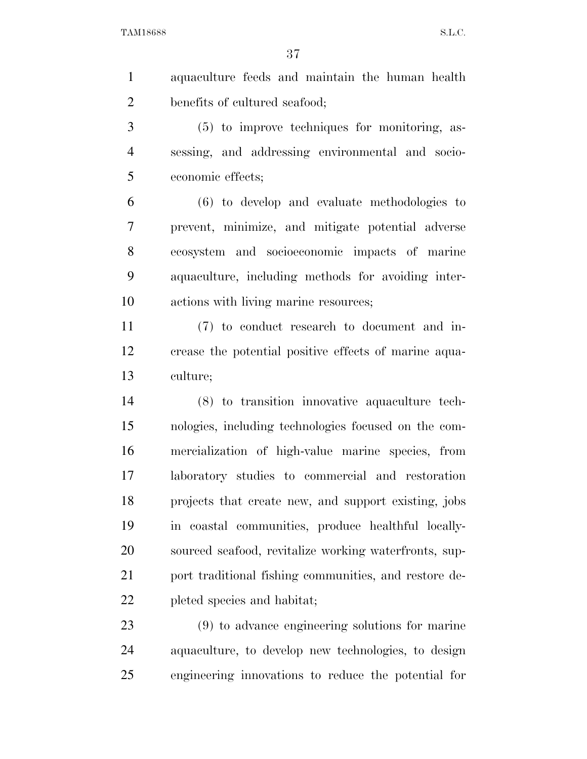aquaculture feeds and maintain the human health benefits of cultured seafood;

 (5) to improve techniques for monitoring, as- sessing, and addressing environmental and socio-economic effects;

 (6) to develop and evaluate methodologies to prevent, minimize, and mitigate potential adverse ecosystem and socioeconomic impacts of marine aquaculture, including methods for avoiding inter-actions with living marine resources;

 (7) to conduct research to document and in- crease the potential positive effects of marine aqua-culture;

 (8) to transition innovative aquaculture tech- nologies, including technologies focused on the com- mercialization of high-value marine species, from laboratory studies to commercial and restoration projects that create new, and support existing, jobs in coastal communities, produce healthful locally- sourced seafood, revitalize working waterfronts, sup-21 port traditional fishing communities, and restore de-pleted species and habitat;

 (9) to advance engineering solutions for marine aquaculture, to develop new technologies, to design engineering innovations to reduce the potential for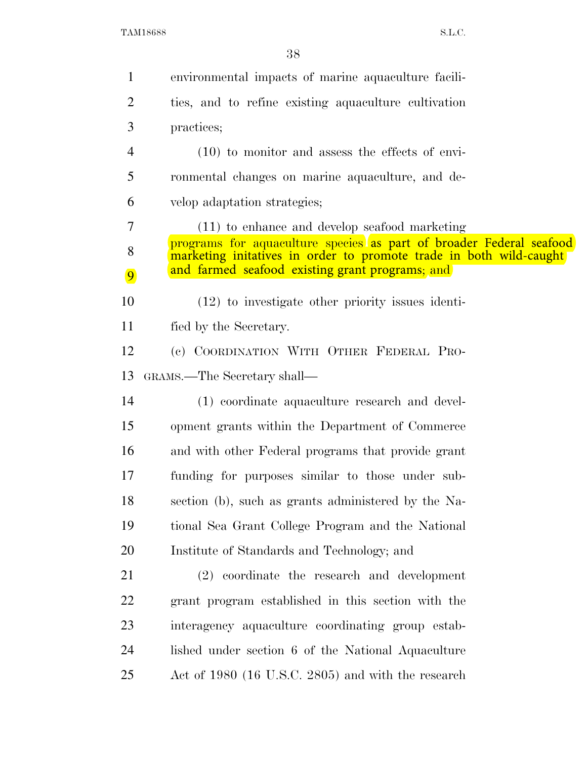| $\mathbf{1}$   | environmental impacts of marine aquaculture facili-                                                                                       |
|----------------|-------------------------------------------------------------------------------------------------------------------------------------------|
| $\overline{2}$ | ties, and to refine existing aquaculture cultivation                                                                                      |
| 3              | practices;                                                                                                                                |
| 4              | $(10)$ to monitor and assess the effects of envi-                                                                                         |
| 5              | ronmental changes on marine aquaculture, and de-                                                                                          |
| 6              | velop adaptation strategies;                                                                                                              |
| 7              | (11) to enhance and develop seafood marketing                                                                                             |
| 8              | programs for aquaculture species as part of broader Federal seafood<br>marketing initatives in order to promote trade in both wild-caught |
| $\boxed{9}$    | and farmed seafood existing grant programs; and                                                                                           |
| 10             | $(12)$ to investigate other priority issues identi-                                                                                       |
| 11             | fied by the Secretary.                                                                                                                    |
| 12             | (c) COORDINATION WITH OTHER FEDERAL PRO-                                                                                                  |
| 13             | GRAMS.—The Secretary shall—                                                                                                               |
| 14             | (1) coordinate aquaculture research and devel-                                                                                            |
| 15             | opment grants within the Department of Commerce                                                                                           |
| 16             | and with other Federal programs that provide grant                                                                                        |
| 17             | funding for purposes similar to those under sub-                                                                                          |
| 18             | section (b), such as grants administered by the Na-                                                                                       |
| 19             | tional Sea Grant College Program and the National                                                                                         |
| 20             | Institute of Standards and Technology; and                                                                                                |
| 21             | (2) coordinate the research and development                                                                                               |
| 22             | grant program established in this section with the                                                                                        |
| 23             | interagency aquaculture coordinating group estab-                                                                                         |
| 24             | lished under section 6 of the National Aquaculture                                                                                        |
| 25             | Act of 1980 (16 U.S.C. 2805) and with the research                                                                                        |
|                |                                                                                                                                           |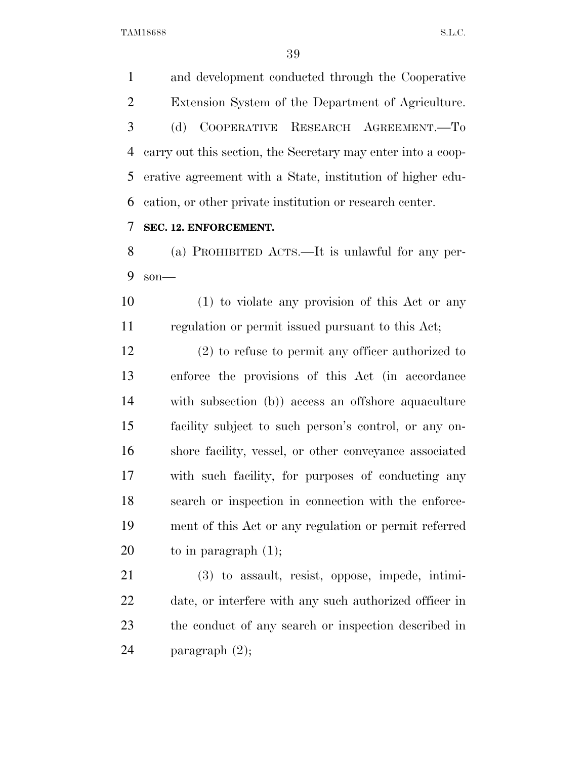and development conducted through the Cooperative Extension System of the Department of Agriculture. (d) COOPERATIVE RESEARCH AGREEMENT.—To carry out this section, the Secretary may enter into a coop- erative agreement with a State, institution of higher edu-cation, or other private institution or research center.

# **SEC. 12. ENFORCEMENT.**

 (a) PROHIBITED ACTS.—It is unlawful for any per-son—

 (1) to violate any provision of this Act or any regulation or permit issued pursuant to this Act;

 (2) to refuse to permit any officer authorized to enforce the provisions of this Act (in accordance with subsection (b)) access an offshore aquaculture facility subject to such person's control, or any on- shore facility, vessel, or other conveyance associated with such facility, for purposes of conducting any search or inspection in connection with the enforce- ment of this Act or any regulation or permit referred 20 to in paragraph  $(1)$ ;

 (3) to assault, resist, oppose, impede, intimi- date, or interfere with any such authorized officer in the conduct of any search or inspection described in paragraph (2);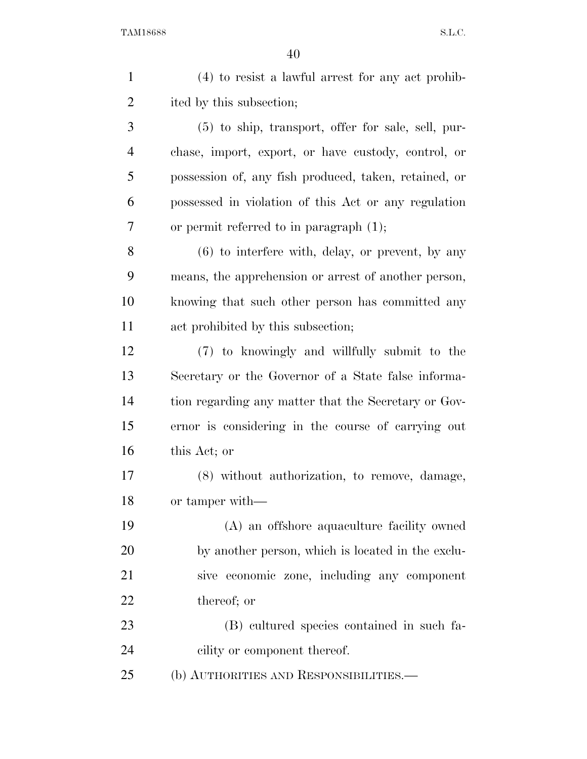| $\mathbf{1}$   | $(4)$ to resist a lawful arrest for any act prohib-   |
|----------------|-------------------------------------------------------|
| $\overline{2}$ | ited by this subsection;                              |
| 3              | (5) to ship, transport, offer for sale, sell, pur-    |
| $\overline{4}$ | chase, import, export, or have custody, control, or   |
| 5              | possession of, any fish produced, taken, retained, or |
| 6              | possessed in violation of this Act or any regulation  |
| 7              | or permit referred to in paragraph $(1)$ ;            |
| 8              | $(6)$ to interfere with, delay, or prevent, by any    |
| 9              | means, the apprehension or arrest of another person,  |
| 10             | knowing that such other person has committed any      |
| 11             | act prohibited by this subsection;                    |
| 12             | (7) to knowingly and willfully submit to the          |
| 13             | Secretary or the Governor of a State false informa-   |
| 14             | tion regarding any matter that the Secretary or Gov-  |
| 15             | ernor is considering in the course of carrying out    |
| 16             | this Act; or                                          |
| 17             | (8) without authorization, to remove, damage,         |
| 18             | or tamper with—                                       |
| 19             | (A) an offshore aquaculture facility owned            |
| 20             | by another person, which is located in the exclu-     |
| 21             | sive economic zone, including any component           |
| 22             | thereof; or                                           |
| 23             | (B) cultured species contained in such fa-            |
| 24             | cility or component thereof.                          |
| 25             | (b) AUTHORITIES AND RESPONSIBILITIES.—                |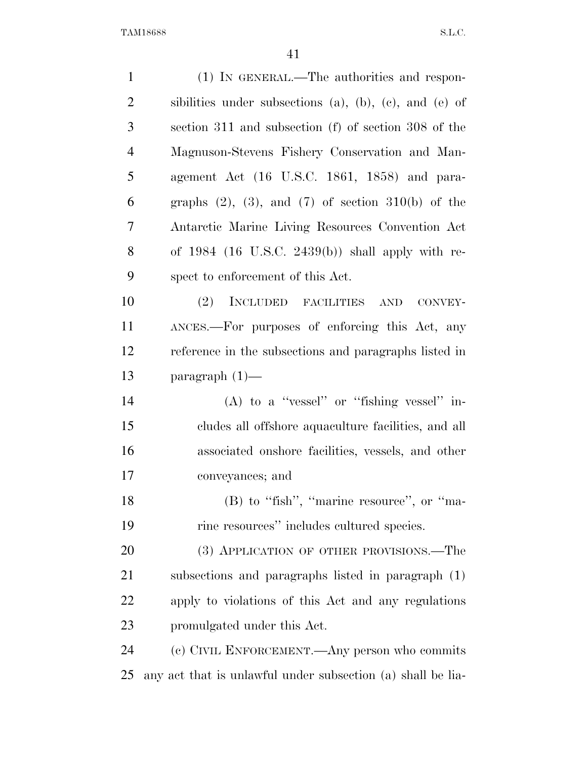| $\mathbf{1}$   | (1) IN GENERAL.—The authorities and respon-                       |
|----------------|-------------------------------------------------------------------|
| $\overline{2}$ | sibilities under subsections $(a)$ , $(b)$ , $(c)$ , and $(e)$ of |
| 3              | section 311 and subsection (f) of section 308 of the              |
| $\overline{4}$ | Magnuson-Stevens Fishery Conservation and Man-                    |
| 5              | agement Act (16 U.S.C. 1861, 1858) and para-                      |
| 6              | graphs $(2)$ , $(3)$ , and $(7)$ of section $310(b)$ of the       |
| 7              | Antarctic Marine Living Resources Convention Act                  |
| 8              | of $1984$ (16 U.S.C. 2439(b)) shall apply with re-                |
| 9              | spect to enforcement of this Act.                                 |
| 10             | (2) INCLUDED FACILITIES AND CONVEY-                               |
| 11             | ANCES.—For purposes of enforcing this Act, any                    |
| 12             | reference in the subsections and paragraphs listed in             |
| 13             | paragraph $(1)$ —                                                 |
| 14             | $(A)$ to a "vessel" or "fishing vessel" in-                       |
| 15             | cludes all offshore aquaculture facilities, and all               |
| 16             | associated onshore facilities, vessels, and other                 |
| 17             | conveyances; and                                                  |
| 18             | (B) to "fish", "marine resource", or "ma-                         |
| 19             | rine resources" includes cultured species.                        |
| 20             | (3) APPLICATION OF OTHER PROVISIONS.—The                          |
| 21             | subsections and paragraphs listed in paragraph (1)                |
| 22             | apply to violations of this Act and any regulations               |
| 23             | promulgated under this Act.                                       |
| 24             | (c) CIVIL ENFORCEMENT.—Any person who commits                     |
| 25             | any act that is unlawful under subsection (a) shall be lia-       |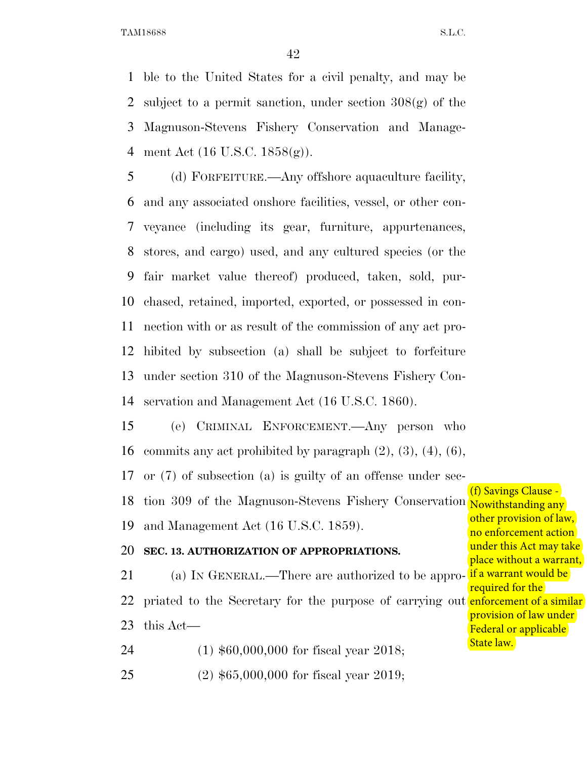ble to the United States for a civil penalty, and may be subject to a permit sanction, under section 308(g) of the Magnuson-Stevens Fishery Conservation and Manage-ment Act (16 U.S.C. 1858(g)).

 (d) FORFEITURE.—Any offshore aquaculture facility, and any associated onshore facilities, vessel, or other con- veyance (including its gear, furniture, appurtenances, stores, and cargo) used, and any cultured species (or the fair market value thereof) produced, taken, sold, pur- chased, retained, imported, exported, or possessed in con- nection with or as result of the commission of any act pro- hibited by subsection (a) shall be subject to forfeiture under section 310 of the Magnuson-Stevens Fishery Con-servation and Management Act (16 U.S.C. 1860).

 (e) CRIMINAL ENFORCEMENT.—Any person who 16 commits any act prohibited by paragraph  $(2)$ ,  $(3)$ ,  $(4)$ ,  $(6)$ ,

or (7) of subsection (a) is guilty of an offense under sec-

18 tion 309 of the Magnuson-Stevens Fishery Conservation Nowithstanding any

and Management Act (16 U.S.C. 1859).

# **SEC. 13. AUTHORIZATION OF APPROPRIATIONS.**

21 (a) In GENERAL.—There are authorized to be appro- <mark>if a warrant would be</mark> 22 priated to the Secretary for the purpose of carrying out **enforcement of a similar** this Act—

(1) \$60,000,000 for fiscal year 2018;

(2) \$65,000,000 for fiscal year 2019;

(f) Savings Clause other provision of law, no enforcement action under this Act may take place without a warrant, required for the provision of law under Federal or applicable State law.